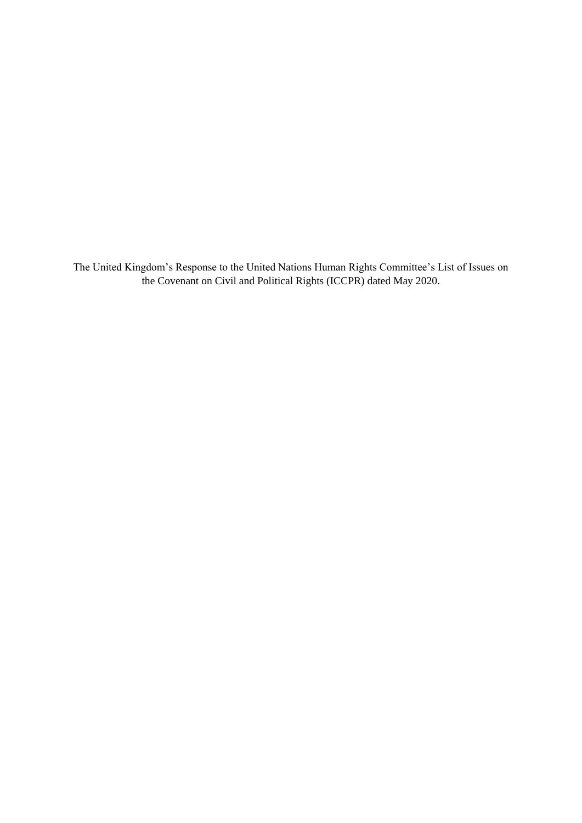The United Kingdom's Response to the United Nations Human Rights Committee's List of Issues on the Covenant on Civil and Political Rights (ICCPR) dated May 2020.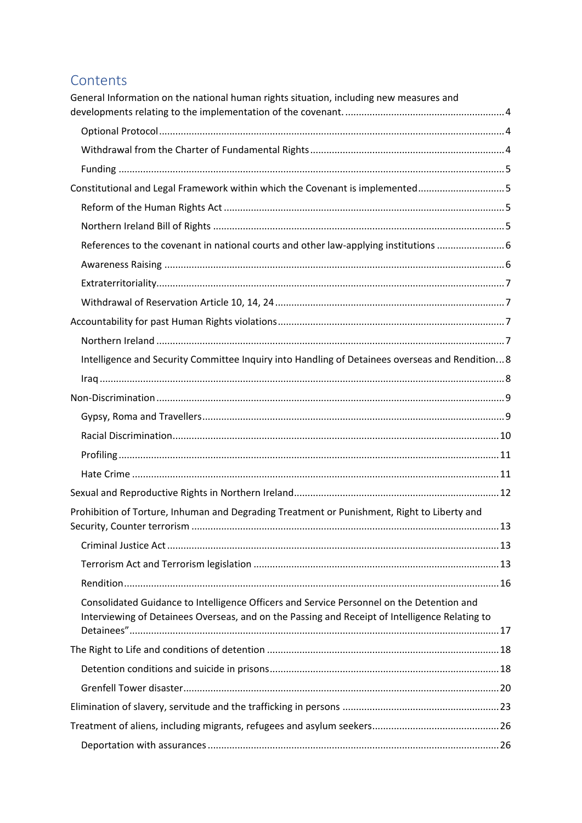# Contents

| General Information on the national human rights situation, including new measures and                                                                                                      |  |
|---------------------------------------------------------------------------------------------------------------------------------------------------------------------------------------------|--|
|                                                                                                                                                                                             |  |
|                                                                                                                                                                                             |  |
|                                                                                                                                                                                             |  |
| Constitutional and Legal Framework within which the Covenant is implemented5                                                                                                                |  |
|                                                                                                                                                                                             |  |
|                                                                                                                                                                                             |  |
| References to the covenant in national courts and other law-applying institutions 6                                                                                                         |  |
|                                                                                                                                                                                             |  |
|                                                                                                                                                                                             |  |
|                                                                                                                                                                                             |  |
|                                                                                                                                                                                             |  |
|                                                                                                                                                                                             |  |
| Intelligence and Security Committee Inquiry into Handling of Detainees overseas and Rendition8                                                                                              |  |
|                                                                                                                                                                                             |  |
|                                                                                                                                                                                             |  |
|                                                                                                                                                                                             |  |
|                                                                                                                                                                                             |  |
|                                                                                                                                                                                             |  |
|                                                                                                                                                                                             |  |
|                                                                                                                                                                                             |  |
| Prohibition of Torture, Inhuman and Degrading Treatment or Punishment, Right to Liberty and                                                                                                 |  |
|                                                                                                                                                                                             |  |
|                                                                                                                                                                                             |  |
|                                                                                                                                                                                             |  |
|                                                                                                                                                                                             |  |
| Consolidated Guidance to Intelligence Officers and Service Personnel on the Detention and<br>Interviewing of Detainees Overseas, and on the Passing and Receipt of Intelligence Relating to |  |
|                                                                                                                                                                                             |  |
|                                                                                                                                                                                             |  |
|                                                                                                                                                                                             |  |
|                                                                                                                                                                                             |  |
|                                                                                                                                                                                             |  |
|                                                                                                                                                                                             |  |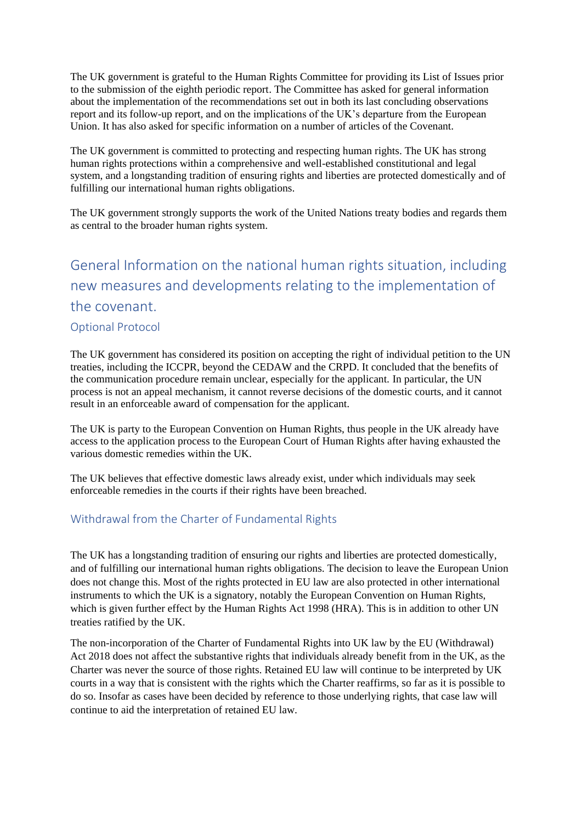The UK government is grateful to the Human Rights Committee for providing its List of Issues prior to the submission of the eighth periodic report. The Committee has asked for general information about the implementation of the recommendations set out in both its last concluding observations report and its follow-up report, and on the implications of the UK's departure from the European Union. It has also asked for specific information on a number of articles of the Covenant.

The UK government is committed to protecting and respecting human rights. The UK has strong human rights protections within a comprehensive and well-established constitutional and legal system, and a longstanding tradition of ensuring rights and liberties are protected domestically and of fulfilling our international human rights obligations.

The UK government strongly supports the work of the United Nations treaty bodies and regards them as central to the broader human rights system.

# <span id="page-3-0"></span>General Information on the national human rights situation, including new measures and developments relating to the implementation of the covenant. Optional Protocol

<span id="page-3-1"></span>The UK government has considered its position on accepting the right of individual petition to the UN treaties, including the ICCPR, beyond the CEDAW and the CRPD. It concluded that the benefits of the communication procedure remain unclear, especially for the applicant. In particular, the UN process is not an appeal mechanism, it cannot reverse decisions of the domestic courts, and it cannot result in an enforceable award of compensation for the applicant.

The UK is party to the European Convention on Human Rights, thus people in the UK already have access to the application process to the European Court of Human Rights after having exhausted the various domestic remedies within the UK.

The UK believes that effective domestic laws already exist, under which individuals may seek enforceable remedies in the courts if their rights have been breached.

### <span id="page-3-2"></span>Withdrawal from the Charter of Fundamental Rights

The UK has a longstanding tradition of ensuring our rights and liberties are protected domestically, and of fulfilling our international human rights obligations. The decision to leave the European Union does not change this. Most of the rights protected in EU law are also protected in other international instruments to which the UK is a signatory, notably the European Convention on Human Rights, which is given further effect by the Human Rights Act 1998 (HRA). This is in addition to other UN treaties ratified by the UK.

The non-incorporation of the Charter of Fundamental Rights into UK law by the EU (Withdrawal) Act 2018 does not affect the substantive rights that individuals already benefit from in the UK, as the Charter was never the source of those rights. Retained EU law will continue to be interpreted by UK courts in a way that is consistent with the rights which the Charter reaffirms, so far as it is possible to do so. Insofar as cases have been decided by reference to those underlying rights, that case law will continue to aid the interpretation of retained EU law.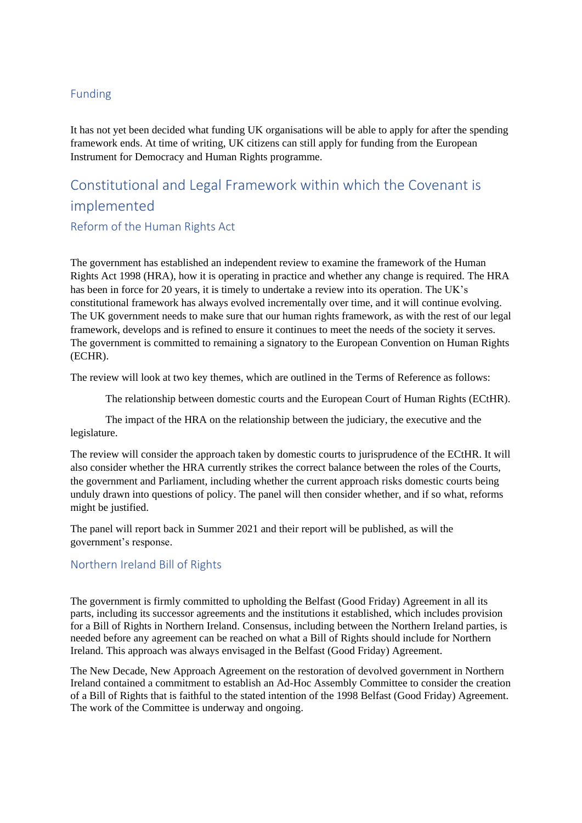### <span id="page-4-0"></span>Funding

It has not yet been decided what funding UK organisations will be able to apply for after the spending framework ends. At time of writing, UK citizens can still apply for funding from the European Instrument for Democracy and Human Rights programme.

# <span id="page-4-1"></span>Constitutional and Legal Framework within which the Covenant is implemented

<span id="page-4-2"></span>Reform of the Human Rights Act

The government has established an independent review to examine the framework of the Human Rights Act 1998 (HRA), how it is operating in practice and whether any change is required. The HRA has been in force for 20 years, it is timely to undertake a review into its operation. The UK's constitutional framework has always evolved incrementally over time, and it will continue evolving. The UK government needs to make sure that our human rights framework, as with the rest of our legal framework, develops and is refined to ensure it continues to meet the needs of the society it serves. The government is committed to remaining a signatory to the European Convention on Human Rights (ECHR).

The review will look at two key themes, which are outlined in the Terms of Reference as follows:

The relationship between domestic courts and the European Court of Human Rights (ECtHR).

The impact of the HRA on the relationship between the judiciary, the executive and the legislature.

The review will consider the approach taken by domestic courts to jurisprudence of the ECtHR. It will also consider whether the HRA currently strikes the correct balance between the roles of the Courts, the government and Parliament, including whether the current approach risks domestic courts being unduly drawn into questions of policy. The panel will then consider whether, and if so what, reforms might be justified.

The panel will report back in Summer 2021 and their report will be published, as will the government's response.

### <span id="page-4-3"></span>Northern Ireland Bill of Rights

The government is firmly committed to upholding the Belfast (Good Friday) Agreement in all its parts, including its successor agreements and the institutions it established, which includes provision for a Bill of Rights in Northern Ireland. Consensus, including between the Northern Ireland parties, is needed before any agreement can be reached on what a Bill of Rights should include for Northern Ireland. This approach was always envisaged in the Belfast (Good Friday) Agreement.

The New Decade, New Approach Agreement on the restoration of devolved government in Northern Ireland contained a commitment to establish an Ad-Hoc Assembly Committee to consider the creation of a Bill of Rights that is faithful to the stated intention of the 1998 Belfast (Good Friday) Agreement. The work of the Committee is underway and ongoing.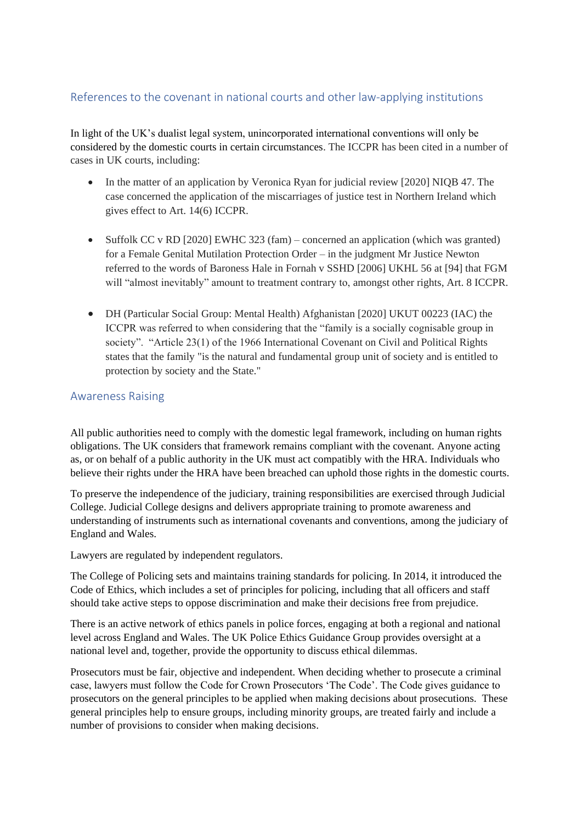### <span id="page-5-0"></span>References to the covenant in national courts and other law-applying institutions

In light of the UK's dualist legal system, unincorporated international conventions will only be considered by the domestic courts in certain circumstances. The ICCPR has been cited in a number of cases in UK courts, including:

- In the matter of an application by Veronica Ryan for judicial review [2020] NIQB 47. The case concerned the application of the miscarriages of justice test in Northern Ireland which gives effect to Art. 14(6) ICCPR.
- Suffolk CC v RD [2020] EWHC 323 (fam) concerned an application (which was granted) for a Female Genital Mutilation Protection Order – in the judgment Mr Justice Newton referred to the words of Baroness Hale in Fornah v SSHD [2006] UKHL 56 at [94] that FGM will "almost inevitably" amount to treatment contrary to, amongst other rights, Art. 8 ICCPR.
- DH (Particular Social Group: Mental Health) Afghanistan [2020] UKUT 00223 (IAC) the ICCPR was referred to when considering that the "family is a socially cognisable group in society". "Article 23(1) of the 1966 International Covenant on Civil and Political Rights states that the family "is the natural and fundamental group unit of society and is entitled to protection by society and the State."

### <span id="page-5-1"></span>Awareness Raising

All public authorities need to comply with the domestic legal framework, including on human rights obligations. The UK considers that framework remains compliant with the covenant. Anyone acting as, or on behalf of a public authority in the UK must act compatibly with the HRA. Individuals who believe their rights under the HRA have been breached can uphold those rights in the domestic courts.

To preserve the independence of the judiciary, training responsibilities are exercised through Judicial College. Judicial College designs and delivers appropriate training to promote awareness and understanding of instruments such as international covenants and conventions, among the judiciary of England and Wales.

Lawyers are regulated by independent regulators.

The College of Policing sets and maintains training standards for policing. In 2014, it introduced the Code of Ethics, which includes a set of principles for policing, including that all officers and staff should take active steps to oppose discrimination and make their decisions free from prejudice.

There is an active network of ethics panels in police forces, engaging at both a regional and national level across England and Wales. The UK Police Ethics Guidance Group provides oversight at a national level and, together, provide the opportunity to discuss ethical dilemmas.

Prosecutors must be fair, objective and independent. When deciding whether to prosecute a criminal case, lawyers must follow the Code for Crown Prosecutors 'The Code'. The Code gives guidance to prosecutors on the general principles to be applied when making decisions about prosecutions. These general principles help to ensure groups, including minority groups, are treated fairly and include a number of provisions to consider when making decisions.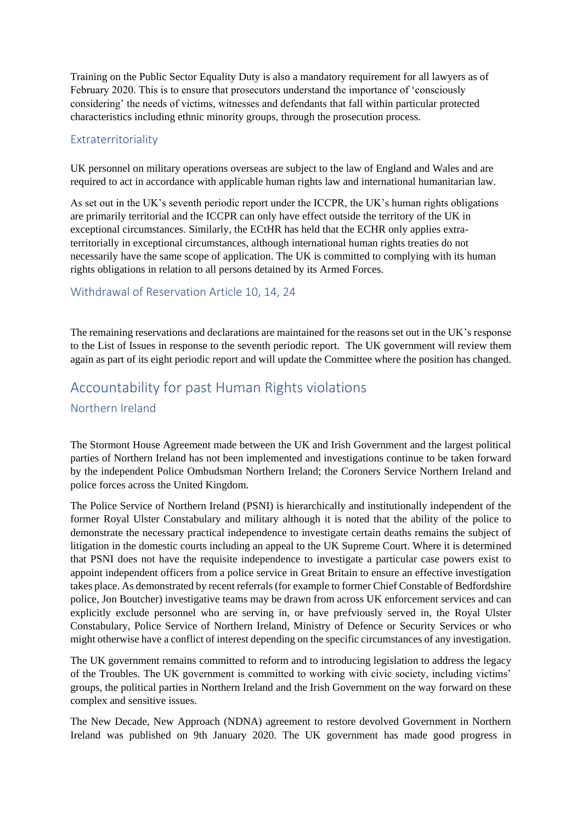Training on the Public Sector Equality Duty is also a mandatory requirement for all lawyers as of February 2020. This is to ensure that prosecutors understand the importance of 'consciously considering' the needs of victims, witnesses and defendants that fall within particular protected characteristics including ethnic minority groups, through the prosecution process.

#### <span id="page-6-0"></span>Extraterritoriality

UK personnel on military operations overseas are subject to the law of England and Wales and are required to act in accordance with applicable human rights law and international humanitarian law.

As set out in the UK's seventh periodic report under the ICCPR, the UK's human rights obligations are primarily territorial and the ICCPR can only have effect outside the territory of the UK in exceptional circumstances. Similarly, the ECtHR has held that the ECHR only applies extraterritorially in exceptional circumstances, although international human rights treaties do not necessarily have the same scope of application. The UK is committed to complying with its human rights obligations in relation to all persons detained by its Armed Forces.

#### <span id="page-6-1"></span>Withdrawal of Reservation Article 10, 14, 24

The remaining reservations and declarations are maintained for the reasons set out in the UK's response to the List of Issues in response to the seventh periodic report. The UK government will review them again as part of its eight periodic report and will update the Committee where the position has changed.

## <span id="page-6-3"></span><span id="page-6-2"></span>Accountability for past Human Rights violations Northern Ireland

The Stormont House Agreement made between the UK and Irish Government and the largest political parties of Northern Ireland has not been implemented and investigations continue to be taken forward by the independent Police Ombudsman Northern Ireland; the Coroners Service Northern Ireland and police forces across the United Kingdom.

The Police Service of Northern Ireland (PSNI) is hierarchically and institutionally independent of the former Royal Ulster Constabulary and military although it is noted that the ability of the police to demonstrate the necessary practical independence to investigate certain deaths remains the subject of litigation in the domestic courts including an appeal to the UK Supreme Court. Where it is determined that PSNI does not have the requisite independence to investigate a particular case powers exist to appoint independent officers from a police service in Great Britain to ensure an effective investigation takes place. As demonstrated by recent referrals (for example to former Chief Constable of Bedfordshire police, Jon Boutcher) investigative teams may be drawn from across UK enforcement services and can explicitly exclude personnel who are serving in, or have prefviously served in, the Royal Ulster Constabulary, Police Service of Northern Ireland, Ministry of Defence or Security Services or who might otherwise have a conflict of interest depending on the specific circumstances of any investigation.

The UK government remains committed to reform and to introducing legislation to address the legacy of the Troubles. The UK government is committed to working with civic society, including victims' groups, the political parties in Northern Ireland and the Irish Government on the way forward on these complex and sensitive issues.

The New Decade, New Approach (NDNA) agreement to restore devolved Government in Northern Ireland was published on 9th January 2020. The UK government has made good progress in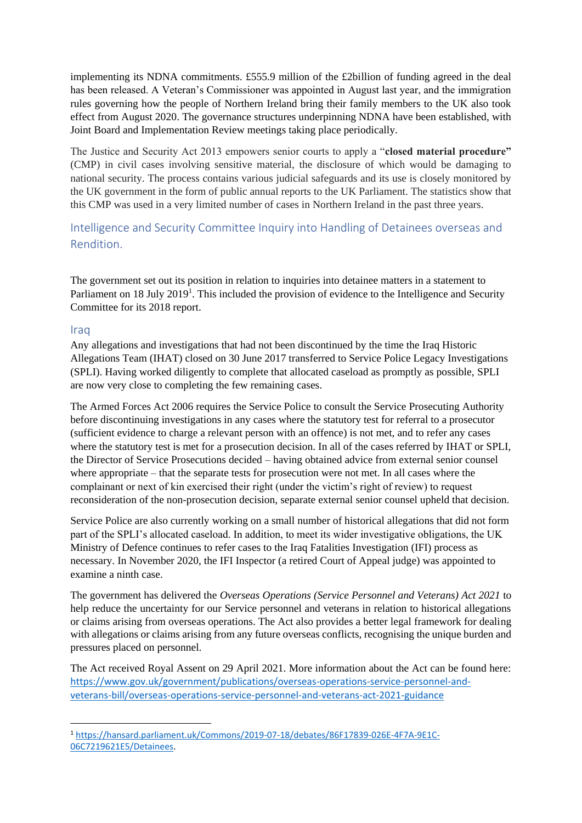implementing its NDNA commitments. £555.9 million of the £2billion of funding agreed in the deal has been released. A Veteran's Commissioner was appointed in August last year, and the immigration rules governing how the people of Northern Ireland bring their family members to the UK also took effect from August 2020. The governance structures underpinning NDNA have been established, with Joint Board and Implementation Review meetings taking place periodically.

The Justice and Security Act 2013 empowers senior courts to apply a "**closed material procedure"** (CMP) in civil cases involving sensitive material, the disclosure of which would be damaging to national security. The process contains various judicial safeguards and its use is closely monitored by the UK government in the form of public annual reports to the UK Parliament. The statistics show that this CMP was used in a very limited number of cases in Northern Ireland in the past three years.

<span id="page-7-0"></span>Intelligence and Security Committee Inquiry into Handling of Detainees overseas and Rendition.

The government set out its position in relation to inquiries into detainee matters in a statement to Parliament on 18 July 2019<sup>1</sup>. This included the provision of evidence to the Intelligence and Security Committee for its 2018 report.

#### <span id="page-7-1"></span>Iraq

Any allegations and investigations that had not been discontinued by the time the Iraq Historic Allegations Team (IHAT) closed on 30 June 2017 transferred to Service Police Legacy Investigations (SPLI). Having worked diligently to complete that allocated caseload as promptly as possible, SPLI are now very close to completing the few remaining cases.

The Armed Forces Act 2006 requires the Service Police to consult the Service Prosecuting Authority before discontinuing investigations in any cases where the statutory test for referral to a prosecutor (sufficient evidence to charge a relevant person with an offence) is not met, and to refer any cases where the statutory test is met for a prosecution decision. In all of the cases referred by IHAT or SPLI, the Director of Service Prosecutions decided – having obtained advice from external senior counsel where appropriate – that the separate tests for prosecution were not met. In all cases where the complainant or next of kin exercised their right (under the victim's right of review) to request reconsideration of the non-prosecution decision, separate external senior counsel upheld that decision.

Service Police are also currently working on a small number of historical allegations that did not form part of the SPLI's allocated caseload. In addition, to meet its wider investigative obligations, the UK Ministry of Defence continues to refer cases to the Iraq Fatalities Investigation (IFI) process as necessary. In November 2020, the IFI Inspector (a retired Court of Appeal judge) was appointed to examine a ninth case.

The government has delivered the *Overseas Operations (Service Personnel and Veterans) Act 2021* to help reduce the uncertainty for our Service personnel and veterans in relation to historical allegations or claims arising from overseas operations. The Act also provides a better legal framework for dealing with allegations or claims arising from any future overseas conflicts, recognising the unique burden and pressures placed on personnel.

The Act received Royal Assent on 29 April 2021. More information about the Act can be found here: [https://www.gov.uk/government/publications/overseas-operations-service-personnel-and](https://gbr01.safelinks.protection.outlook.com/?url=https%3A%2F%2Fwww.gov.uk%2Fgovernment%2Fpublications%2Foverseas-operations-service-personnel-and-veterans-bill%2Foverseas-operations-service-personnel-and-veterans-act-2021-guidance&data=04%7C01%7CPatrick.Boot624%40mod.gov.uk%7Cc2bf5f8c493d4c9db26708d9152630dc%7Cbe7760ed5953484bae95d0a16dfa09e5%7C0%7C0%7C637564076029477242%7CUnknown%7CTWFpbGZsb3d8eyJWIjoiMC4wLjAwMDAiLCJQIjoiV2luMzIiLCJBTiI6Ik1haWwiLCJXVCI6Mn0%3D%7C1000&sdata=yEHOcf9e7JopPqZAD3LsCeULPp8q9K8y17mt%2BFpK6lw%3D&reserved=0)[veterans-bill/overseas-operations-service-personnel-and-veterans-act-2021-guidance](https://gbr01.safelinks.protection.outlook.com/?url=https%3A%2F%2Fwww.gov.uk%2Fgovernment%2Fpublications%2Foverseas-operations-service-personnel-and-veterans-bill%2Foverseas-operations-service-personnel-and-veterans-act-2021-guidance&data=04%7C01%7CPatrick.Boot624%40mod.gov.uk%7Cc2bf5f8c493d4c9db26708d9152630dc%7Cbe7760ed5953484bae95d0a16dfa09e5%7C0%7C0%7C637564076029477242%7CUnknown%7CTWFpbGZsb3d8eyJWIjoiMC4wLjAwMDAiLCJQIjoiV2luMzIiLCJBTiI6Ik1haWwiLCJXVCI6Mn0%3D%7C1000&sdata=yEHOcf9e7JopPqZAD3LsCeULPp8q9K8y17mt%2BFpK6lw%3D&reserved=0)

**<sup>.</sup>** <sup>1</sup> [https://hansard.parliament.uk/Commons/2019-07-18/debates/86F17839-026E-4F7A-9E1C-](https://hansard.parliament.uk/Commons/2019-07-18/debates/86F17839-026E-4F7A-9E1C-06C7219621E5/Detainees)[06C7219621E5/Detainees.](https://hansard.parliament.uk/Commons/2019-07-18/debates/86F17839-026E-4F7A-9E1C-06C7219621E5/Detainees)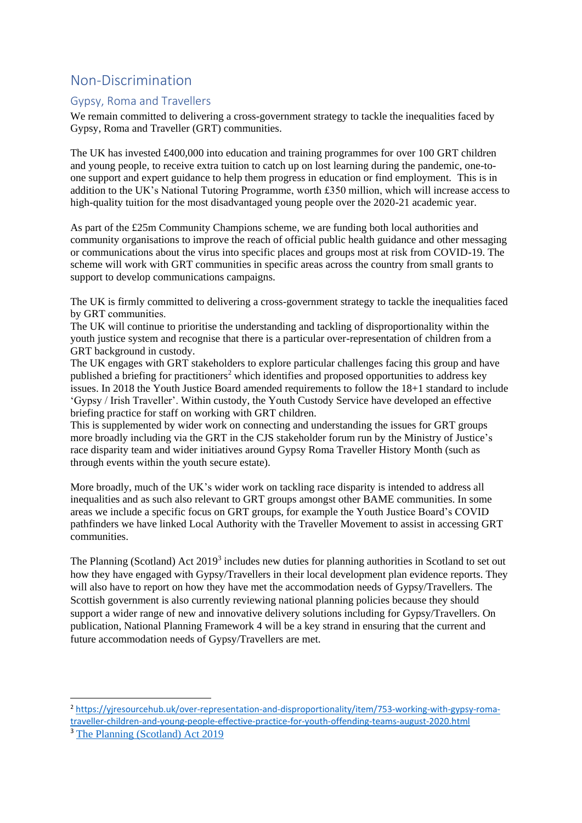## <span id="page-8-0"></span>Non-Discrimination

**.** 

### <span id="page-8-1"></span>Gypsy, Roma and Travellers

We remain committed to delivering a cross-government strategy to tackle the inequalities faced by Gypsy, Roma and Traveller (GRT) communities.

The UK has invested £400,000 into education and training programmes for over 100 GRT children and young people, to receive extra tuition to catch up on lost learning during the pandemic, one-toone support and expert guidance to help them progress in education or find employment. This is in addition to the UK's National Tutoring Programme, worth £350 million, which will increase access to high-quality tuition for the most disadvantaged young people over the 2020-21 academic year.

As part of the £25m Community Champions scheme, we are funding both local authorities and community organisations to improve the reach of official public health guidance and other messaging or communications about the virus into specific places and groups most at risk from COVID-19. The scheme will work with GRT communities in specific areas across the country from small grants to support to develop communications campaigns.

The UK is firmly committed to delivering a cross-government strategy to tackle the inequalities faced by GRT communities. 

The UK will continue to prioritise the understanding and tackling of disproportionality within the youth justice system and recognise that there is a particular over-representation of children from a GRT background in custody.

The UK engages with GRT stakeholders to explore particular challenges facing this group and have published a briefing for practitioners<sup>2</sup> which identifies and proposed opportunities to address key issues. In 2018 the Youth Justice Board amended requirements to follow the 18+1 standard to include 'Gypsy / Irish Traveller'. Within custody, the Youth Custody Service have developed an effective briefing practice for staff on working with GRT children.

This is supplemented by wider work on connecting and understanding the issues for GRT groups more broadly including via the GRT in the CJS stakeholder forum run by the Ministry of Justice's race disparity team and wider initiatives around Gypsy Roma Traveller History Month (such as through events within the youth secure estate).

More broadly, much of the UK's wider work on tackling race disparity is intended to address all inequalities and as such also relevant to GRT groups amongst other BAME communities. In some areas we include a specific focus on GRT groups, for example the Youth Justice Board's COVID pathfinders we have linked Local Authority with the Traveller Movement to assist in accessing GRT communities.

The Planning (Scotland) Act 2019<sup>3</sup> includes new duties for planning authorities in Scotland to set out how they have engaged with Gypsy/Travellers in their local development plan evidence reports. They will also have to report on how they have met the accommodation needs of Gypsy/Travellers. The Scottish government is also currently reviewing national planning policies because they should support a wider range of new and innovative delivery solutions including for Gypsy/Travellers. On publication, National Planning Framework 4 will be a key strand in ensuring that the current and future accommodation needs of Gypsy/Travellers are met.

<sup>2</sup> [https://yjresourcehub.uk/over-representation-and-disproportionality/item/753-working-with-gypsy-roma](https://yjresourcehub.uk/over-representation-and-disproportionality/item/753-working-with-gypsy-roma-traveller-children-and-young-people-effective-practice-for-youth-offending-teams-august-2020.html)[traveller-children-and-young-people-effective-practice-for-youth-offending-teams-august-2020.html](https://yjresourcehub.uk/over-representation-and-disproportionality/item/753-working-with-gypsy-roma-traveller-children-and-young-people-effective-practice-for-youth-offending-teams-august-2020.html) <sup>3</sup> [The Planning \(Scotland\) Act 2019](https://www.legislation.gov.uk/asp/2019/13/enacted)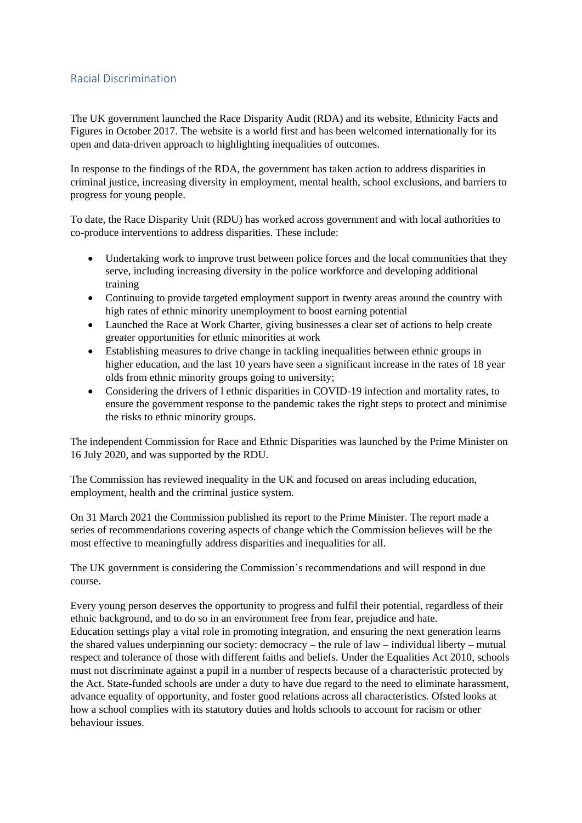### <span id="page-9-0"></span>Racial Discrimination

The UK government launched the Race Disparity Audit (RDA) and its website, Ethnicity Facts and Figures in October 2017. The website is a world first and has been welcomed internationally for its open and data-driven approach to highlighting inequalities of outcomes.

In response to the findings of the RDA, the government has taken action to address disparities in criminal justice, increasing diversity in employment, mental health, school exclusions, and barriers to progress for young people.

To date, the Race Disparity Unit (RDU) has worked across government and with local authorities to co-produce interventions to address disparities. These include:

- Undertaking work to improve trust between police forces and the local communities that they serve, including increasing diversity in the police workforce and developing additional training
- Continuing to provide targeted employment support in twenty areas around the country with high rates of ethnic minority unemployment to boost earning potential
- Launched the Race at Work Charter, giving businesses a clear set of actions to help create greater opportunities for ethnic minorities at work
- Establishing measures to drive change in tackling inequalities between ethnic groups in higher education, and the last 10 years have seen a significant increase in the rates of 18 year olds from ethnic minority groups going to university;
- Considering the drivers of l ethnic disparities in COVID-19 infection and mortality rates, to ensure the government response to the pandemic takes the right steps to protect and minimise the risks to ethnic minority groups.

The independent Commission for Race and Ethnic Disparities was launched by the Prime Minister on 16 July 2020, and was supported by the RDU.

The Commission has reviewed inequality in the UK and focused on areas including education, employment, health and the criminal justice system.

On 31 March 2021 the Commission published its report to the Prime Minister. The report made a series of recommendations covering aspects of change which the Commission believes will be the most effective to meaningfully address disparities and inequalities for all.

The UK government is considering the Commission's recommendations and will respond in due course.

Every young person deserves the opportunity to progress and fulfil their potential, regardless of their ethnic background, and to do so in an environment free from fear, prejudice and hate. Education settings play a vital role in promoting integration, and ensuring the next generation learns the shared values underpinning our society: democracy – the rule of law – individual liberty – mutual respect and tolerance of those with different faiths and beliefs. Under the Equalities Act 2010, schools must not discriminate against a pupil in a number of respects because of a characteristic protected by the Act. State-funded schools are under a duty to have due regard to the need to eliminate harassment, advance equality of opportunity, and foster good relations across all characteristics. Ofsted looks at how a school complies with its statutory duties and holds schools to account for racism or other behaviour issues.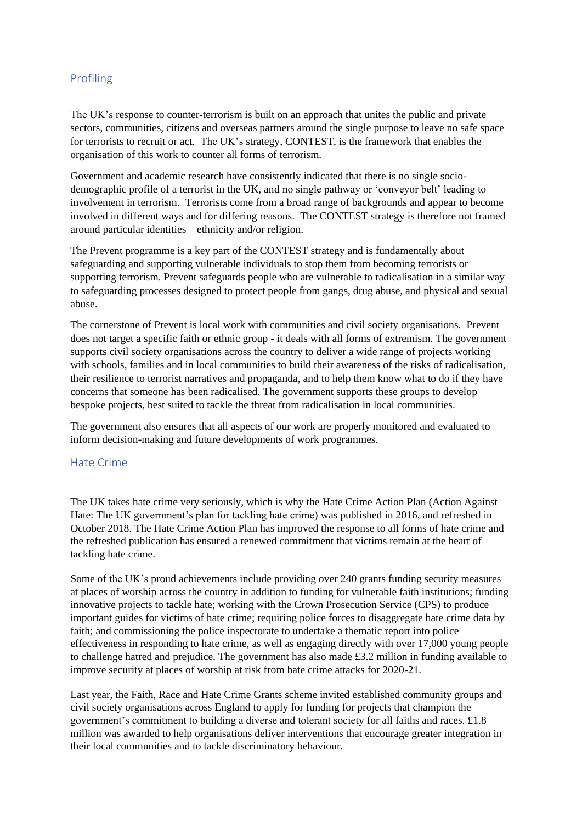### <span id="page-10-0"></span>Profiling

The UK's response to counter-terrorism is built on an approach that unites the public and private sectors, communities, citizens and overseas partners around the single purpose to leave no safe space for terrorists to recruit or act. The UK's strategy, CONTEST, is the framework that enables the organisation of this work to counter all forms of terrorism.

Government and academic research have consistently indicated that there is no single sociodemographic profile of a terrorist in the UK, and no single pathway or 'conveyor belt' leading to involvement in terrorism. Terrorists come from a broad range of backgrounds and appear to become involved in different ways and for differing reasons. The CONTEST strategy is therefore not framed around particular identities – ethnicity and/or religion.

The Prevent programme is a key part of the CONTEST strategy and is fundamentally about safeguarding and supporting vulnerable individuals to stop them from becoming terrorists or supporting terrorism. Prevent safeguards people who are vulnerable to radicalisation in a similar way to safeguarding processes designed to protect people from gangs, drug abuse, and physical and sexual abuse.

The cornerstone of Prevent is local work with communities and civil society organisations. Prevent does not target a specific faith or ethnic group - it deals with all forms of extremism. The government supports civil society organisations across the country to deliver a wide range of projects working with schools, families and in local communities to build their awareness of the risks of radicalisation, their resilience to terrorist narratives and propaganda, and to help them know what to do if they have concerns that someone has been radicalised. The government supports these groups to develop bespoke projects, best suited to tackle the threat from radicalisation in local communities.

The government also ensures that all aspects of our work are properly monitored and evaluated to inform decision-making and future developments of work programmes.

### <span id="page-10-1"></span>Hate Crime

The UK takes hate crime very seriously, which is why the Hate Crime Action Plan (Action Against Hate: The UK government's plan for tackling hate crime) was published in 2016, and refreshed in October 2018. The Hate Crime Action Plan has improved the response to all forms of hate crime and the refreshed publication has ensured a renewed commitment that victims remain at the heart of tackling hate crime.

Some of the UK's proud achievements include providing over 240 grants funding security measures at places of worship across the country in addition to funding for vulnerable faith institutions; funding innovative projects to tackle hate; working with the Crown Prosecution Service (CPS) to produce important guides for victims of hate crime; requiring police forces to disaggregate hate crime data by faith; and commissioning the police inspectorate to undertake a thematic report into police effectiveness in responding to hate crime, as well as engaging directly with over 17,000 young people to challenge hatred and prejudice. The government has also made £3.2 million in funding available to improve security at places of worship at risk from hate crime attacks for 2020-21.

Last year, the Faith, Race and Hate Crime Grants scheme invited established community groups and civil society organisations across England to apply for funding for projects that champion the government's commitment to building a diverse and tolerant society for all faiths and races. £1.8 million was awarded to help organisations deliver interventions that encourage greater integration in their local communities and to tackle discriminatory behaviour.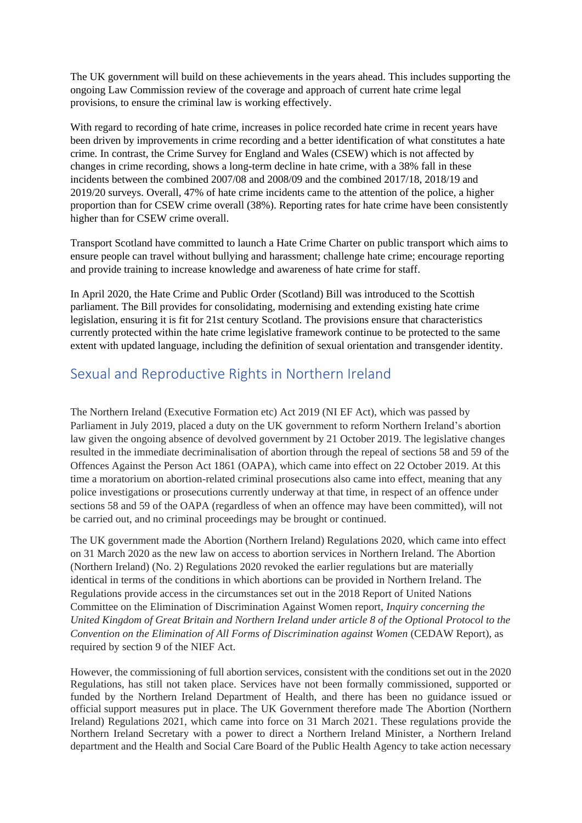The UK government will build on these achievements in the years ahead. This includes supporting the ongoing Law Commission review of the coverage and approach of current hate crime legal provisions, to ensure the criminal law is working effectively.

With regard to recording of hate crime, increases in police recorded hate crime in recent years have been driven by improvements in crime recording and a better identification of what constitutes a hate crime. In contrast, the Crime Survey for England and Wales (CSEW) which is not affected by changes in crime recording, shows a long-term decline in hate crime, with a 38% fall in these incidents between the combined 2007/08 and 2008/09 and the combined 2017/18, 2018/19 and 2019/20 surveys. Overall, 47% of hate crime incidents came to the attention of the police, a higher proportion than for CSEW crime overall (38%). Reporting rates for hate crime have been consistently higher than for CSEW crime overall.

Transport Scotland have committed to launch a Hate Crime Charter on public transport which aims to ensure people can travel without bullying and harassment; challenge hate crime; encourage reporting and provide training to increase knowledge and awareness of hate crime for staff.

In April 2020, the Hate Crime and Public Order (Scotland) Bill was introduced to the Scottish parliament. The Bill provides for consolidating, modernising and extending existing hate crime legislation, ensuring it is fit for 21st century Scotland. The provisions ensure that characteristics currently protected within the hate crime legislative framework continue to be protected to the same extent with updated language, including the definition of sexual orientation and transgender identity.

# <span id="page-11-0"></span>Sexual and Reproductive Rights in Northern Ireland

The Northern Ireland (Executive Formation etc) Act 2019 (NI EF Act), which was passed by Parliament in July 2019, placed a duty on the UK government to reform Northern Ireland's abortion law given the ongoing absence of devolved government by 21 October 2019. The legislative changes resulted in the immediate decriminalisation of abortion through the repeal of sections 58 and 59 of the Offences Against the Person Act 1861 (OAPA), which came into effect on 22 October 2019. At this time a moratorium on abortion-related criminal prosecutions also came into effect, meaning that any police investigations or prosecutions currently underway at that time, in respect of an offence under sections 58 and 59 of the OAPA (regardless of when an offence may have been committed), will not be carried out, and no criminal proceedings may be brought or continued.

The UK government made the Abortion (Northern Ireland) Regulations 2020, which came into effect on 31 March 2020 as the new law on access to abortion services in Northern Ireland. The Abortion (Northern Ireland) (No. 2) Regulations 2020 revoked the earlier regulations but are materially identical in terms of the conditions in which abortions can be provided in Northern Ireland. The Regulations provide access in the circumstances set out in the 2018 Report of United Nations Committee on the Elimination of Discrimination Against Women report, *Inquiry concerning the United Kingdom of Great Britain and Northern Ireland under article 8 of the Optional Protocol to the Convention on the Elimination of All Forms of Discrimination against Women* (CEDAW Report), as required by section 9 of the NIEF Act.

However, the commissioning of full abortion services, consistent with the conditions set out in the 2020 Regulations, has still not taken place. Services have not been formally commissioned, supported or funded by the Northern Ireland Department of Health, and there has been no guidance issued or official support measures put in place. The UK Government therefore made The Abortion (Northern Ireland) Regulations 2021, which came into force on 31 March 2021. These regulations provide the Northern Ireland Secretary with a power to direct a Northern Ireland Minister, a Northern Ireland department and the Health and Social Care Board of the Public Health Agency to take action necessary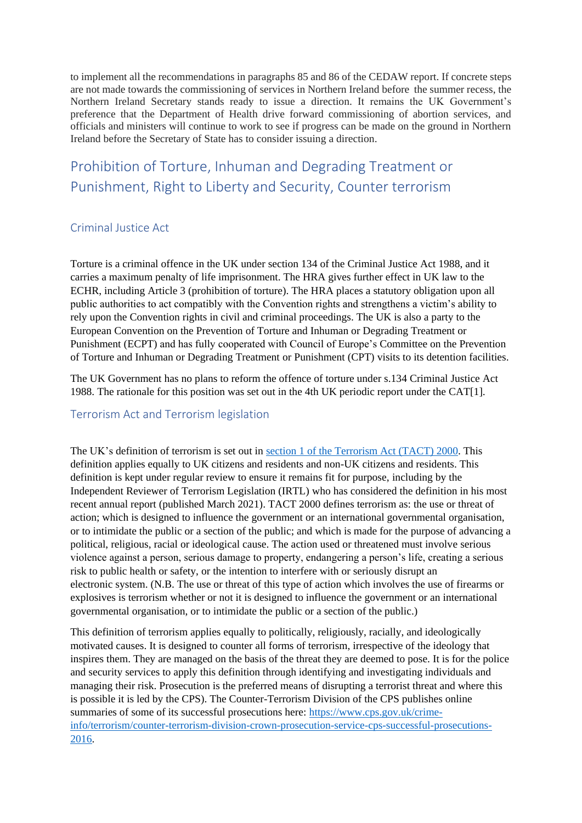to implement all the recommendations in paragraphs 85 and 86 of the CEDAW report. If concrete steps are not made towards the commissioning of services in Northern Ireland before the summer recess, the Northern Ireland Secretary stands ready to issue a direction. It remains the UK Government's preference that the Department of Health drive forward commissioning of abortion services, and officials and ministers will continue to work to see if progress can be made on the ground in Northern Ireland before the Secretary of State has to consider issuing a direction.

# <span id="page-12-0"></span>Prohibition of Torture, Inhuman and Degrading Treatment or Punishment, Right to Liberty and Security, Counter terrorism

#### <span id="page-12-1"></span>Criminal Justice Act

Torture is a criminal offence in the UK under section 134 of the Criminal Justice Act 1988, and it carries a maximum penalty of life imprisonment. The HRA gives further effect in UK law to the ECHR, including Article 3 (prohibition of torture). The HRA places a statutory obligation upon all public authorities to act compatibly with the Convention rights and strengthens a victim's ability to rely upon the Convention rights in civil and criminal proceedings. The UK is also a party to the European Convention on the Prevention of Torture and Inhuman or Degrading Treatment or Punishment (ECPT) and has fully cooperated with Council of Europe's Committee on the Prevention of Torture and Inhuman or Degrading Treatment or Punishment (CPT) visits to its detention facilities.

The UK Government has no plans to reform the offence of torture under s.134 Criminal Justice Act 1988. The rationale for this position was set out in the 4th UK periodic report under the CAT[1].

### <span id="page-12-2"></span>Terrorism Act and Terrorism legislation

The UK's definition of terrorism is set out in [section 1 of the Terrorism Act](https://www.legislation.gov.uk/ukpga/2000/11/part/I) (TACT) 2000. This definition applies equally to UK citizens and residents and non-UK citizens and residents. This definition is kept under regular review to ensure it remains fit for purpose, including by the Independent Reviewer of Terrorism Legislation (IRTL) who has considered the definition in his most recent annual report (published March 2021). TACT 2000 defines terrorism as: the use or threat of action; which is designed to influence the government or an international governmental organisation, or to intimidate the public or a section of the public; and which is made for the purpose of advancing a political, religious, racial or ideological cause. The action used or threatened must involve serious violence against a person, serious damage to property, endangering a person's life, creating a serious risk to public health or safety, or the intention to interfere with or seriously disrupt an electronic system. (N.B. The use or threat of this type of action which involves the use of firearms or explosives is terrorism whether or not it is designed to influence the government or an international governmental organisation, or to intimidate the public or a section of the public.)

This definition of terrorism applies equally to politically, religiously, racially, and ideologically motivated causes. It is designed to counter all forms of terrorism, irrespective of the ideology that inspires them. They are managed on the basis of the threat they are deemed to pose. It is for the police and security services to apply this definition through identifying and investigating individuals and managing their risk. Prosecution is the preferred means of disrupting a terrorist threat and where this is possible it is led by the CPS). The Counter-Terrorism Division of the CPS publishes online summaries of some of its successful prosecutions here: [https://www.cps.gov.uk/crime](https://eur01.safelinks.protection.outlook.com/?url=https%3A%2F%2Fwww.cps.gov.uk%2Fcrime-info%2Fterrorism%2Fcounter-terrorism-division-crown-prosecution-service-cps-successful-prosecutions-2016&data=02%7C01%7CLaurence.Kane%40homeoffice.gov.uk%7C1254fcb5217f4320632f08d864471b7c%7Cf24d93ecb2914192a08af182245945c2%7C0%7C0%7C637369604145724667&sdata=KQ0R64yJnyo999yzDIY8kpMdzBWwrBOr2jcvu6d5AAU%3D&reserved=0)[info/terrorism/counter-terrorism-division-crown-prosecution-service-cps-successful-prosecutions-](https://eur01.safelinks.protection.outlook.com/?url=https%3A%2F%2Fwww.cps.gov.uk%2Fcrime-info%2Fterrorism%2Fcounter-terrorism-division-crown-prosecution-service-cps-successful-prosecutions-2016&data=02%7C01%7CLaurence.Kane%40homeoffice.gov.uk%7C1254fcb5217f4320632f08d864471b7c%7Cf24d93ecb2914192a08af182245945c2%7C0%7C0%7C637369604145724667&sdata=KQ0R64yJnyo999yzDIY8kpMdzBWwrBOr2jcvu6d5AAU%3D&reserved=0)[2016.](https://eur01.safelinks.protection.outlook.com/?url=https%3A%2F%2Fwww.cps.gov.uk%2Fcrime-info%2Fterrorism%2Fcounter-terrorism-division-crown-prosecution-service-cps-successful-prosecutions-2016&data=02%7C01%7CLaurence.Kane%40homeoffice.gov.uk%7C1254fcb5217f4320632f08d864471b7c%7Cf24d93ecb2914192a08af182245945c2%7C0%7C0%7C637369604145724667&sdata=KQ0R64yJnyo999yzDIY8kpMdzBWwrBOr2jcvu6d5AAU%3D&reserved=0)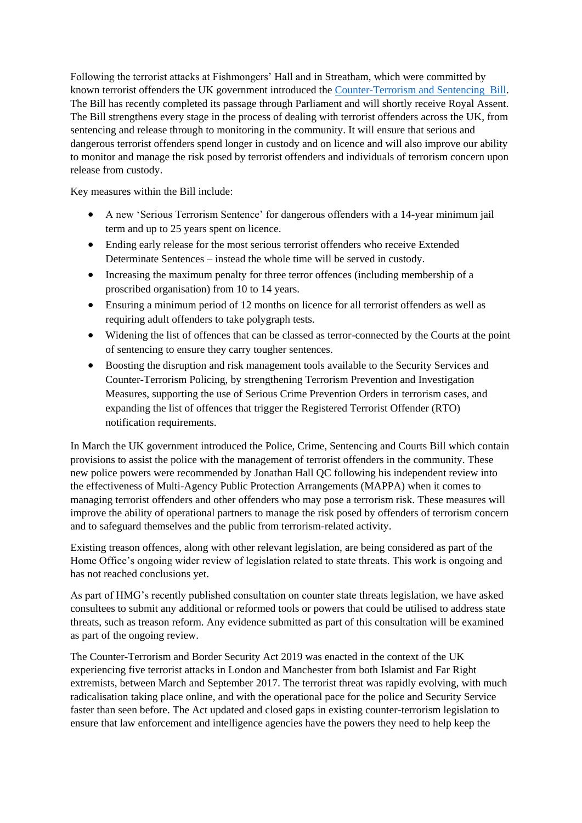Following the terrorist attacks at Fishmongers' Hall and in Streatham, which were committed by known terrorist offenders the UK government introduced the [Counter-Terrorism and Sentencing Bill.](https://services.parliament.uk/Bills/2019-21/counterterrorismandsentencing.html) The Bill has recently completed its passage through Parliament and will shortly receive Royal Assent. The Bill strengthens every stage in the process of dealing with terrorist offenders across the UK, from sentencing and release through to monitoring in the community. It will ensure that serious and dangerous terrorist offenders spend longer in custody and on licence and will also improve our ability to monitor and manage the risk posed by terrorist offenders and individuals of terrorism concern upon release from custody.

Key measures within the Bill include:

- A new 'Serious Terrorism Sentence' for dangerous offenders with a 14-year minimum jail term and up to 25 years spent on licence.
- Ending early release for the most serious terrorist offenders who receive Extended Determinate Sentences – instead the whole time will be served in custody.
- Increasing the maximum penalty for three terror offences (including membership of a proscribed organisation) from 10 to 14 years.
- Ensuring a minimum period of 12 months on licence for all terrorist offenders as well as requiring adult offenders to take polygraph tests.
- Widening the list of offences that can be classed as terror-connected by the Courts at the point of sentencing to ensure they carry tougher sentences.
- Boosting the disruption and risk management tools available to the Security Services and Counter-Terrorism Policing, by strengthening Terrorism Prevention and Investigation Measures, supporting the use of Serious Crime Prevention Orders in terrorism cases, and expanding the list of offences that trigger the Registered Terrorist Offender (RTO) notification requirements.

In March the UK government introduced the Police, Crime, Sentencing and Courts Bill which contain provisions to assist the police with the management of terrorist offenders in the community. These new police powers were recommended by Jonathan Hall QC following his independent review into the effectiveness of Multi-Agency Public Protection Arrangements (MAPPA) when it comes to managing terrorist offenders and other offenders who may pose a terrorism risk. These measures will improve the ability of operational partners to manage the risk posed by offenders of terrorism concern and to safeguard themselves and the public from terrorism-related activity.

Existing treason offences, along with other relevant legislation, are being considered as part of the Home Office's ongoing wider review of legislation related to state threats. This work is ongoing and has not reached conclusions yet.

As part of HMG's recently published consultation on counter state threats legislation, we have asked consultees to submit any additional or reformed tools or powers that could be utilised to address state threats, such as treason reform. Any evidence submitted as part of this consultation will be examined as part of the ongoing review.

The Counter-Terrorism and Border Security Act 2019 was enacted in the context of the UK experiencing five terrorist attacks in London and Manchester from both Islamist and Far Right extremists, between March and September 2017. The terrorist threat was rapidly evolving, with much radicalisation taking place online, and with the operational pace for the police and Security Service faster than seen before. The Act updated and closed gaps in existing counter-terrorism legislation to ensure that law enforcement and intelligence agencies have the powers they need to help keep the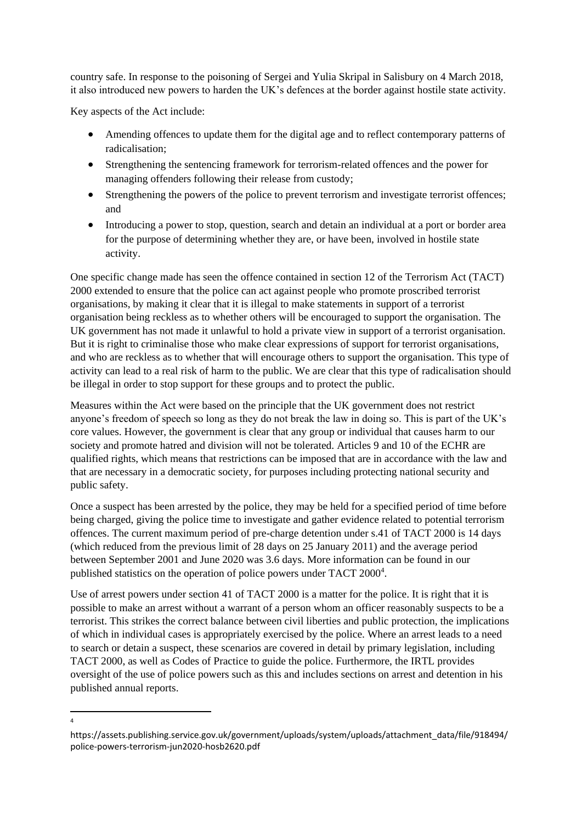country safe. In response to the poisoning of Sergei and Yulia Skripal in Salisbury on 4 March 2018, it also introduced new powers to harden the UK's defences at the border against hostile state activity.

Key aspects of the Act include:

 $\frac{1}{4}$ 

- Amending offences to update them for the digital age and to reflect contemporary patterns of radicalisation;
- Strengthening the sentencing framework for terrorism-related offences and the power for managing offenders following their release from custody;
- Strengthening the powers of the police to prevent terrorism and investigate terrorist offences; and
- Introducing a power to stop, question, search and detain an individual at a port or border area for the purpose of determining whether they are, or have been, involved in hostile state activity.

One specific change made has seen the offence contained in section 12 of the Terrorism Act (TACT) 2000 extended to ensure that the police can act against people who promote proscribed terrorist organisations, by making it clear that it is illegal to make statements in support of a terrorist organisation being reckless as to whether others will be encouraged to support the organisation. The UK government has not made it unlawful to hold a private view in support of a terrorist organisation. But it is right to criminalise those who make clear expressions of support for terrorist organisations, and who are reckless as to whether that will encourage others to support the organisation. This type of activity can lead to a real risk of harm to the public. We are clear that this type of radicalisation should be illegal in order to stop support for these groups and to protect the public.

Measures within the Act were based on the principle that the UK government does not restrict anyone's freedom of speech so long as they do not break the law in doing so. This is part of the UK's core values. However, the government is clear that any group or individual that causes harm to our society and promote hatred and division will not be tolerated. Articles 9 and 10 of the ECHR are qualified rights, which means that restrictions can be imposed that are in accordance with the law and that are necessary in a democratic society, for purposes including protecting national security and public safety.

Once a suspect has been arrested by the police, they may be held for a specified period of time before being charged, giving the police time to investigate and gather evidence related to potential terrorism offences. The current maximum period of pre-charge detention under s.41 of TACT 2000 is 14 days (which reduced from the previous limit of 28 days on 25 January 2011) and the average period between September 2001 and June 2020 was 3.6 days. More information can be found in our published statistics on the operation of police powers under TACT 2000<sup>4</sup>.

Use of arrest powers under section 41 of TACT 2000 is a matter for the police. It is right that it is possible to make an arrest without a warrant of a person whom an officer reasonably suspects to be a terrorist. This strikes the correct balance between civil liberties and public protection, the implications of which in individual cases is appropriately exercised by the police. Where an arrest leads to a need to search or detain a suspect, these scenarios are covered in detail by primary legislation, including TACT 2000, as well as Codes of Practice to guide the police. Furthermore, the IRTL provides oversight of the use of police powers such as this and includes sections on arrest and detention in his published annual reports.

https://assets.publishing.service.gov.uk/government/uploads/system/uploads/attachment\_data/file/918494/ police-powers-terrorism-jun2020-hosb2620.pdf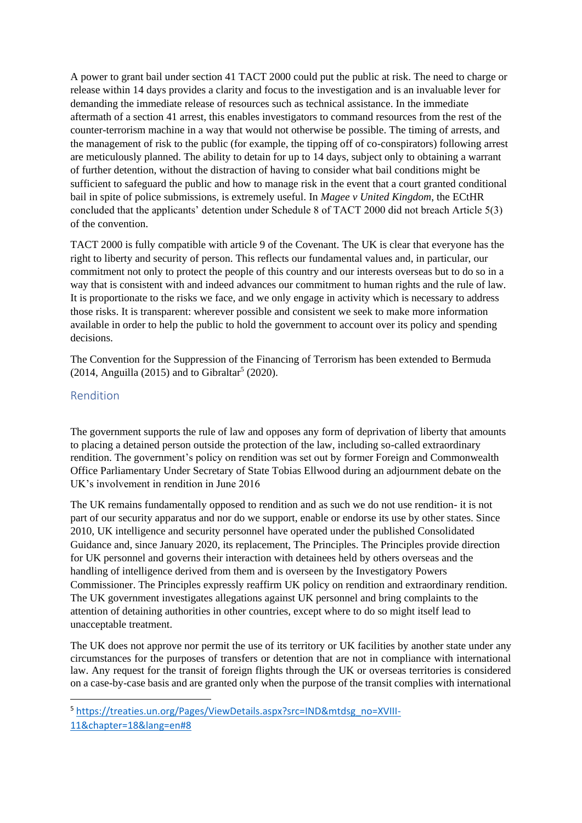A power to grant bail under section 41 TACT 2000 could put the public at risk. The need to charge or release within 14 days provides a clarity and focus to the investigation and is an invaluable lever for demanding the immediate release of resources such as technical assistance. In the immediate aftermath of a section 41 arrest, this enables investigators to command resources from the rest of the counter-terrorism machine in a way that would not otherwise be possible. The timing of arrests, and the management of risk to the public (for example, the tipping off of co-conspirators) following arrest are meticulously planned. The ability to detain for up to 14 days, subject only to obtaining a warrant of further detention, without the distraction of having to consider what bail conditions might be sufficient to safeguard the public and how to manage risk in the event that a court granted conditional bail in spite of police submissions, is extremely useful. In *Magee v United Kingdom*, the ECtHR concluded that the applicants' detention under Schedule 8 of TACT 2000 did not breach Article 5(3) of the convention.

TACT 2000 is fully compatible with article 9 of the Covenant. The UK is clear that everyone has the right to liberty and security of person. This reflects our fundamental values and, in particular, our commitment not only to protect the people of this country and our interests overseas but to do so in a way that is consistent with and indeed advances our commitment to human rights and the rule of law. It is proportionate to the risks we face, and we only engage in activity which is necessary to address those risks. It is transparent: wherever possible and consistent we seek to make more information available in order to help the public to hold the government to account over its policy and spending decisions.

The Convention for the Suppression of the Financing of Terrorism has been extended to Bermuda  $(2014,$  Anguilla  $(2015)$  and to Gibraltar<sup>5</sup>  $(2020)$ .

### <span id="page-15-0"></span>Rendition

The government supports the rule of law and opposes any form of deprivation of liberty that amounts to placing a detained person outside the protection of the law, including so-called extraordinary rendition. The government's policy on rendition was set out by former Foreign and Commonwealth Office Parliamentary Under Secretary of State Tobias Ellwood during an adjournment debate on the UK's involvement in rendition in June 2016

The UK remains fundamentally opposed to rendition and as such we do not use rendition- it is not part of our security apparatus and nor do we support, enable or endorse its use by other states. Since 2010, UK intelligence and security personnel have operated under the published Consolidated Guidance and, since January 2020, its replacement, The Principles. The Principles provide direction for UK personnel and governs their interaction with detainees held by others overseas and the handling of intelligence derived from them and is overseen by the Investigatory Powers Commissioner. The Principles expressly reaffirm UK policy on rendition and extraordinary rendition. The UK government investigates allegations against UK personnel and bring complaints to the attention of detaining authorities in other countries, except where to do so might itself lead to unacceptable treatment.

The UK does not approve nor permit the use of its territory or UK facilities by another state under any circumstances for the purposes of transfers or detention that are not in compliance with international law. Any request for the transit of foreign flights through the UK or overseas territories is considered on a case-by-case basis and are granted only when the purpose of the transit complies with international

**.** 

<sup>5</sup> [https://treaties.un.org/Pages/ViewDetails.aspx?src=IND&mtdsg\\_no=XVIII-](https://treaties.un.org/Pages/ViewDetails.aspx?src=IND&mtdsg_no=XVIII-11&chapter=18&lang=en#8)

[<sup>11&</sup>amp;chapter=18&lang=en#8](https://treaties.un.org/Pages/ViewDetails.aspx?src=IND&mtdsg_no=XVIII-11&chapter=18&lang=en#8)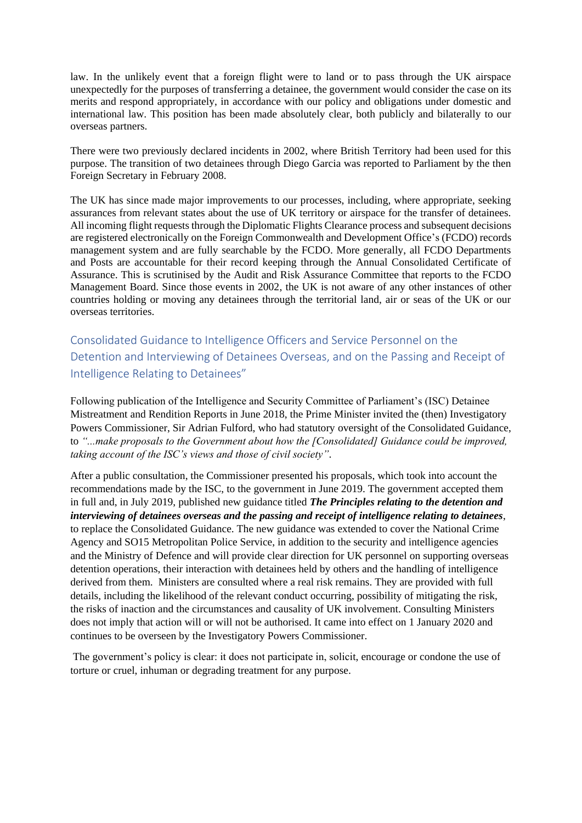law. In the unlikely event that a foreign flight were to land or to pass through the UK airspace unexpectedly for the purposes of transferring a detainee, the government would consider the case on its merits and respond appropriately, in accordance with our policy and obligations under domestic and international law. This position has been made absolutely clear, both publicly and bilaterally to our overseas partners.

There were two previously declared incidents in 2002, where British Territory had been used for this purpose. The transition of two detainees through Diego Garcia was reported to Parliament by the then Foreign Secretary in February 2008.

The UK has since made major improvements to our processes, including, where appropriate, seeking assurances from relevant states about the use of UK territory or airspace for the transfer of detainees. All incoming flight requests through the Diplomatic Flights Clearance process and subsequent decisions are registered electronically on the Foreign Commonwealth and Development Office's (FCDO) records management system and are fully searchable by the FCDO. More generally, all FCDO Departments and Posts are accountable for their record keeping through the Annual Consolidated Certificate of Assurance. This is scrutinised by the Audit and Risk Assurance Committee that reports to the FCDO Management Board. Since those events in 2002, the UK is not aware of any other instances of other countries holding or moving any detainees through the territorial land, air or seas of the UK or our overseas territories.

<span id="page-16-0"></span>Consolidated Guidance to Intelligence Officers and Service Personnel on the Detention and Interviewing of Detainees Overseas, and on the Passing and Receipt of Intelligence Relating to Detainees"

Following publication of the Intelligence and Security Committee of Parliament's (ISC) Detainee Mistreatment and Rendition Reports in June 2018, the Prime Minister invited the (then) Investigatory Powers Commissioner, Sir Adrian Fulford, who had statutory oversight of the Consolidated Guidance, to *"...make proposals to the Government about how the [Consolidated] Guidance could be improved, taking account of the ISC's views and those of civil society"*.

After a public consultation, the Commissioner presented his proposals, which took into account the recommendations made by the ISC, to the government in June 2019. The government accepted them in full and, in July 2019, published new guidance titled *The Principles relating to the detention and interviewing of detainees overseas and the passing and receipt of intelligence relating to detainees*, to replace the Consolidated Guidance. The new guidance was extended to cover the National Crime Agency and SO15 Metropolitan Police Service, in addition to the security and intelligence agencies and the Ministry of Defence and will provide clear direction for UK personnel on supporting overseas detention operations, their interaction with detainees held by others and the handling of intelligence derived from them. Ministers are consulted where a real risk remains. They are provided with full details, including the likelihood of the relevant conduct occurring, possibility of mitigating the risk, the risks of inaction and the circumstances and causality of UK involvement. Consulting Ministers does not imply that action will or will not be authorised. It came into effect on 1 January 2020 and continues to be overseen by the Investigatory Powers Commissioner.

The government's policy is clear: it does not participate in, solicit, encourage or condone the use of torture or cruel, inhuman or degrading treatment for any purpose.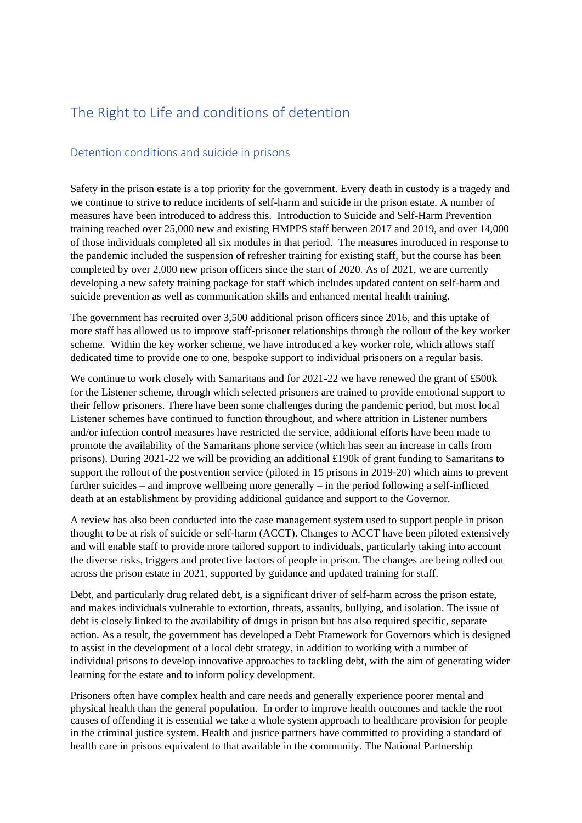# <span id="page-17-0"></span>The Right to Life and conditions of detention

### <span id="page-17-1"></span>Detention conditions and suicide in prisons

Safety in the prison estate is a top priority for the government. Every death in custody is a tragedy and we continue to strive to reduce incidents of self-harm and suicide in the prison estate. A number of measures have been introduced to address this. Introduction to Suicide and Self-Harm Prevention training reached over 25,000 new and existing HMPPS staff between 2017 and 2019, and over 14,000 of those individuals completed all six modules in that period. The measures introduced in response to the pandemic included the suspension of refresher training for existing staff, but the course has been completed by over 2,000 new prison officers since the start of 2020*.* As of 2021, we are currently developing a new safety training package for staff which includes updated content on self-harm and suicide prevention as well as communication skills and enhanced mental health training.

The government has recruited over 3,500 additional prison officers since 2016, and this uptake of more staff has allowed us to improve staff-prisoner relationships through the rollout of the key worker scheme. Within the key worker scheme, we have introduced a key worker role, which allows staff dedicated time to provide one to one, bespoke support to individual prisoners on a regular basis.

We continue to work closely with Samaritans and for 2021-22 we have renewed the grant of £500k for the Listener scheme, through which selected prisoners are trained to provide emotional support to their fellow prisoners. There have been some challenges during the pandemic period, but most local Listener schemes have continued to function throughout, and where attrition in Listener numbers and/or infection control measures have restricted the service, additional efforts have been made to promote the availability of the Samaritans phone service (which has seen an increase in calls from prisons). During 2021-22 we will be providing an additional £190k of grant funding to Samaritans to support the rollout of the postvention service (piloted in 15 prisons in 2019-20) which aims to prevent further suicides – and improve wellbeing more generally – in the period following a self-inflicted death at an establishment by providing additional guidance and support to the Governor.

A review has also been conducted into the case management system used to support people in prison thought to be at risk of suicide or self-harm (ACCT). Changes to ACCT have been piloted extensively and will enable staff to provide more tailored support to individuals, particularly taking into account the diverse risks, triggers and protective factors of people in prison. The changes are being rolled out across the prison estate in 2021, supported by guidance and updated training for staff.

Debt, and particularly drug related debt, is a significant driver of self-harm across the prison estate, and makes individuals vulnerable to extortion, threats, assaults, bullying, and isolation. The issue of debt is closely linked to the availability of drugs in prison but has also required specific, separate action. As a result, the government has developed a Debt Framework for Governors which is designed to assist in the development of a local debt strategy, in addition to working with a number of individual prisons to develop innovative approaches to tackling debt, with the aim of generating wider learning for the estate and to inform policy development.

Prisoners often have complex health and care needs and generally experience poorer mental and physical health than the general population. In order to improve health outcomes and tackle the root causes of offending it is essential we take a whole system approach to healthcare provision for people in the criminal justice system. Health and justice partners have committed to providing a standard of health care in prisons equivalent to that available in the community. The National Partnership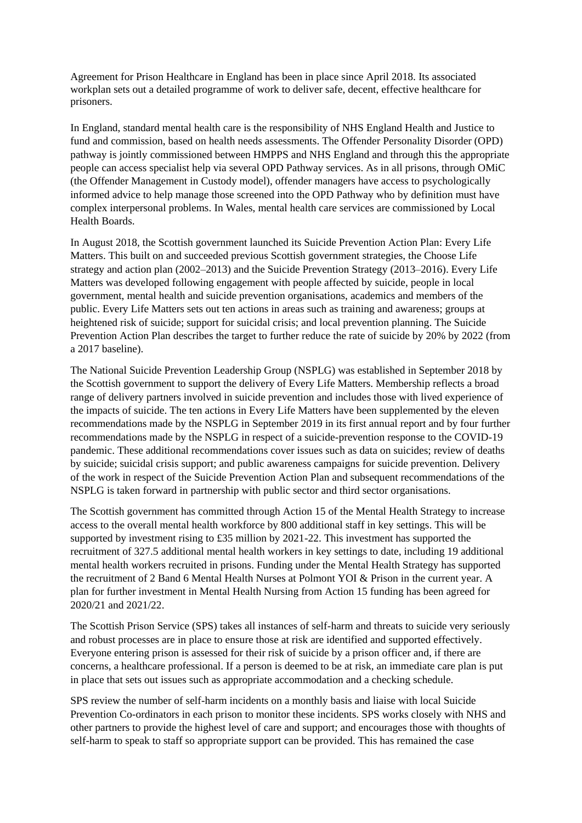Agreement for Prison Healthcare in England has been in place since April 2018. Its associated workplan sets out a detailed programme of work to deliver safe, decent, effective healthcare for prisoners.

In England, standard mental health care is the responsibility of NHS England Health and Justice to fund and commission, based on health needs assessments. The Offender Personality Disorder (OPD) pathway is jointly commissioned between HMPPS and NHS England and through this the appropriate people can access specialist help via several OPD Pathway services. As in all prisons, through OMiC (the Offender Management in Custody model), offender managers have access to psychologically informed advice to help manage those screened into the OPD Pathway who by definition must have complex interpersonal problems. In Wales, mental health care services are commissioned by Local Health Boards.

In August 2018, the Scottish government launched its Suicide Prevention Action Plan: Every Life Matters. This built on and succeeded previous Scottish government strategies, the Choose Life strategy and action plan (2002–2013) and the Suicide Prevention Strategy (2013–2016). Every Life Matters was developed following engagement with people affected by suicide, people in local government, mental health and suicide prevention organisations, academics and members of the public. Every Life Matters sets out ten actions in areas such as training and awareness; groups at heightened risk of suicide; support for suicidal crisis; and local prevention planning. The Suicide Prevention Action Plan describes the target to further reduce the rate of suicide by 20% by 2022 (from a 2017 baseline).

The National Suicide Prevention Leadership Group (NSPLG) was established in September 2018 by the Scottish government to support the delivery of Every Life Matters. Membership reflects a broad range of delivery partners involved in suicide prevention and includes those with lived experience of the impacts of suicide. The ten actions in Every Life Matters have been supplemented by the eleven recommendations made by the NSPLG in September 2019 in its first annual report and by four further recommendations made by the NSPLG in respect of a suicide-prevention response to the COVID-19 pandemic. These additional recommendations cover issues such as data on suicides; review of deaths by suicide; suicidal crisis support; and public awareness campaigns for suicide prevention. Delivery of the work in respect of the Suicide Prevention Action Plan and subsequent recommendations of the NSPLG is taken forward in partnership with public sector and third sector organisations.

The Scottish government has committed through Action 15 of the Mental Health Strategy to increase access to the overall mental health workforce by 800 additional staff in key settings. This will be supported by investment rising to £35 million by 2021-22. This investment has supported the recruitment of 327.5 additional mental health workers in key settings to date, including 19 additional mental health workers recruited in prisons. Funding under the Mental Health Strategy has supported the recruitment of 2 Band 6 Mental Health Nurses at Polmont YOI & Prison in the current year. A plan for further investment in Mental Health Nursing from Action 15 funding has been agreed for 2020/21 and 2021/22.

The Scottish Prison Service (SPS) takes all instances of self-harm and threats to suicide very seriously and robust processes are in place to ensure those at risk are identified and supported effectively. Everyone entering prison is assessed for their risk of suicide by a prison officer and, if there are concerns, a healthcare professional. If a person is deemed to be at risk, an immediate care plan is put in place that sets out issues such as appropriate accommodation and a checking schedule.

SPS review the number of self-harm incidents on a monthly basis and liaise with local Suicide Prevention Co-ordinators in each prison to monitor these incidents. SPS works closely with NHS and other partners to provide the highest level of care and support; and encourages those with thoughts of self-harm to speak to staff so appropriate support can be provided. This has remained the case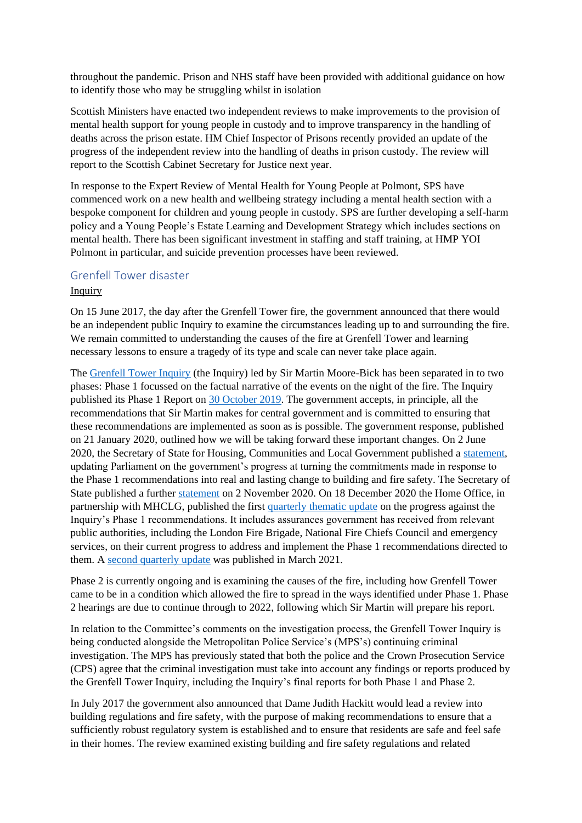throughout the pandemic. Prison and NHS staff have been provided with additional guidance on how to identify those who may be struggling whilst in isolation

Scottish Ministers have enacted two independent reviews to make improvements to the provision of mental health support for young people in custody and to improve transparency in the handling of deaths across the prison estate. HM Chief Inspector of Prisons recently provided an update of the progress of the independent review into the handling of deaths in prison custody. The review will report to the Scottish Cabinet Secretary for Justice next year.

In response to the Expert Review of Mental Health for Young People at Polmont, SPS have commenced work on a new health and wellbeing strategy including a mental health section with a bespoke component for children and young people in custody. SPS are further developing a self-harm policy and a Young People's Estate Learning and Development Strategy which includes sections on mental health. There has been significant investment in staffing and staff training, at HMP YOI Polmont in particular, and suicide prevention processes have been reviewed.

#### <span id="page-19-0"></span>Grenfell Tower disaster

#### Inquiry

On 15 June 2017, the day after the Grenfell Tower fire, the government announced that there would be an independent public Inquiry to examine the circumstances leading up to and surrounding the fire. We remain committed to understanding the causes of the fire at Grenfell Tower and learning necessary lessons to ensure a tragedy of its type and scale can never take place again.

The [Grenfell Tower Inquiry](https://www.grenfelltowerinquiry.org.uk/) (the Inquiry) led by Sir Martin Moore-Bick has been separated in to two phases: Phase 1 focussed on the factual narrative of the events on the night of the fire. The Inquiry published its Phase 1 Report on [30 October 2019.](https://www.grenfelltowerinquiry.org.uk/phase-1-report) The government accepts, in principle, all the recommendations that Sir Martin makes for central government and is committed to ensuring that these recommendations are implemented as soon as is possible. The government response, published on 21 January 2020, outlined how we will be taking forward these important changes. On 2 June 2020, the Secretary of State for Housing, Communities and Local Government published a [statement,](https://questions-statements.parliament.uk/written-statements/detail/2020-06-02/HCWS257) updating Parliament on the government's progress at turning the commitments made in response to the Phase 1 recommendations into real and lasting change to building and fire safety. The Secretary of State published a further [statement](https://questions-statements.parliament.uk/written-statements/detail/2020-11-02/hcws548) on 2 November 2020. On 18 December 2020 the Home Office, in partnership with MHCLG, published the first [quarterly thematic update](https://assets.publishing.service.gov.uk/government/uploads/system/uploads/attachment_data/file/944802/Quarterly_thematic_update_on_progress_against_the_Grenfell_Tower_Inquiry_Phase_1_Recommendations.pdf) on the progress against the Inquiry's Phase 1 recommendations. It includes assurances government has received from relevant public authorities, including the London Fire Brigade, National Fire Chiefs Council and emergency services, on their current progress to address and implement the Phase 1 recommendations directed to them. A [second quarterly update](https://assets.publishing.service.gov.uk/government/uploads/system/uploads/attachment_data/file/978810/Quarterly_Thematic_Update_on_progress_against_the_Grenfell_Tower_Inquiry_Phase_1_Recommendations_-_March_2021.pdf) was published in March 2021.

Phase 2 is currently ongoing and is examining the causes of the fire, including how Grenfell Tower came to be in a condition which allowed the fire to spread in the ways identified under Phase 1. Phase 2 hearings are due to continue through to 2022, following which Sir Martin will prepare his report.

In relation to the Committee's comments on the investigation process, the Grenfell Tower Inquiry is being conducted alongside the Metropolitan Police Service's (MPS's) continuing criminal investigation. The MPS has previously stated that both the police and the Crown Prosecution Service (CPS) agree that the criminal investigation must take into account any findings or reports produced by the Grenfell Tower Inquiry, including the Inquiry's final reports for both Phase 1 and Phase 2.

In July 2017 the government also announced that Dame Judith Hackitt would lead a review into building regulations and fire safety, with the purpose of making recommendations to ensure that a sufficiently robust regulatory system is established and to ensure that residents are safe and feel safe in their homes. The review examined existing building and fire safety regulations and related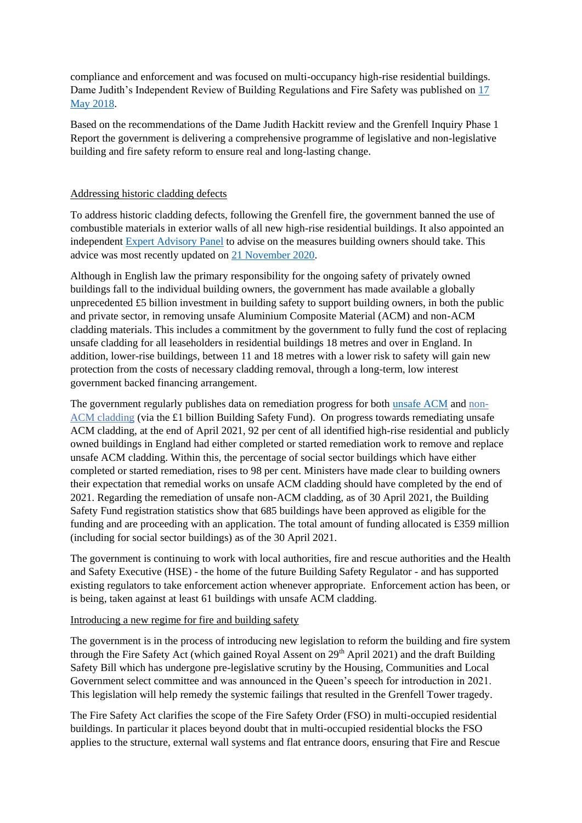compliance and enforcement and was focused on multi-occupancy high-rise residential buildings. Dame Judith's Independent Review of Building Regulations and Fire Safety was published on [17](https://www.gov.uk/government/publications/independent-review-of-building-regulations-and-fire-safety-final-report)  [May 2018.](https://www.gov.uk/government/publications/independent-review-of-building-regulations-and-fire-safety-final-report)

Based on the recommendations of the Dame Judith Hackitt review and the Grenfell Inquiry Phase 1 Report the government is delivering a comprehensive programme of legislative and non-legislative building and fire safety reform to ensure real and long-lasting change.

#### Addressing historic cladding defects

To address historic cladding defects, following the Grenfell fire, the government banned the use of combustible materials in exterior walls of all new high-rise residential buildings. It also appointed an independent [Expert Advisory Panel](https://www.gov.uk/government/collections/building-safety-independent-expert-advisory-panel) to advise on the measures building owners should take. This advice was most recently updated on [21 November 2020.](https://www.gov.uk/government/publications/building-safety-advice-for-building-owners-including-fire-doors)

Although in English law the primary responsibility for the ongoing safety of privately owned buildings fall to the individual building owners, the government has made available a globally unprecedented £5 billion investment in building safety to support building owners, in both the public and private sector, in removing unsafe Aluminium Composite Material (ACM) and non-ACM cladding materials. This includes a commitment by the government to fully fund the cost of replacing unsafe cladding for all leaseholders in residential buildings 18 metres and over in England. In addition, lower-rise buildings, between 11 and 18 metres with a lower risk to safety will gain new protection from the costs of necessary cladding removal, through a long-term, low interest government backed financing arrangement.

The government regularly publishes data on remediation progress for both [unsafe ACM](https://www.gov.uk/housing-local-and-community/building-regulation) and [non-](https://www.gov.uk/guidance/remediation-of-non-acm-buildings?=6#building-safety-fund-registration-statistics)[ACM cladding](https://www.gov.uk/guidance/remediation-of-non-acm-buildings?=6#building-safety-fund-registration-statistics) (via the £1 billion Building Safety Fund). On progress towards remediating unsafe ACM cladding, at the end of April 2021, 92 per cent of all identified high-rise residential and publicly owned buildings in England had either completed or started remediation work to remove and replace unsafe ACM cladding. Within this, the percentage of social sector buildings which have either completed or started remediation, rises to 98 per cent. Ministers have made clear to building owners their expectation that remedial works on unsafe ACM cladding should have completed by the end of 2021. Regarding the remediation of unsafe non-ACM cladding, as of 30 April 2021, the Building Safety Fund registration statistics show that 685 buildings have been approved as eligible for the funding and are proceeding with an application. The total amount of funding allocated is £359 million (including for social sector buildings) as of the 30 April 2021.

The government is continuing to work with local authorities, fire and rescue authorities and the Health and Safety Executive (HSE) - the home of the future Building Safety Regulator - and has supported existing regulators to take enforcement action whenever appropriate. Enforcement action has been, or is being, taken against at least 61 buildings with unsafe ACM cladding.

#### Introducing a new regime for fire and building safety

The government is in the process of introducing new legislation to reform the building and fire system through the Fire Safety Act (which gained Royal Assent on 29<sup>th</sup> April 2021) and the draft Building Safety Bill which has undergone pre-legislative scrutiny by the Housing, Communities and Local Government select committee and was announced in the Queen's speech for introduction in 2021. This legislation will help remedy the systemic failings that resulted in the Grenfell Tower tragedy.

The Fire Safety Act clarifies the scope of the Fire Safety Order (FSO) in multi-occupied residential buildings. In particular it places beyond doubt that in multi-occupied residential blocks the FSO applies to the structure, external wall systems and flat entrance doors, ensuring that Fire and Rescue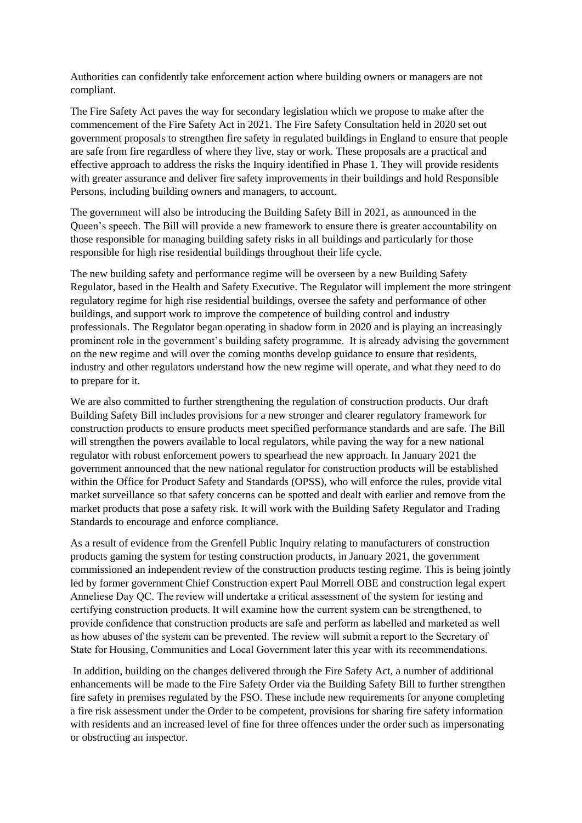Authorities can confidently take enforcement action where building owners or managers are not compliant.

The Fire Safety Act paves the way for secondary legislation which we propose to make after the commencement of the Fire Safety Act in 2021. The Fire Safety Consultation held in 2020 set out government proposals to strengthen fire safety in regulated buildings in England to ensure that people are safe from fire regardless of where they live, stay or work. These proposals are a practical and effective approach to address the risks the Inquiry identified in Phase 1. They will provide residents with greater assurance and deliver fire safety improvements in their buildings and hold Responsible Persons, including building owners and managers, to account.

The government will also be introducing the Building Safety Bill in 2021, as announced in the Queen's speech. The Bill will provide a new framework to ensure there is greater accountability on those responsible for managing building safety risks in all buildings and particularly for those responsible for high rise residential buildings throughout their life cycle.

The new building safety and performance regime will be overseen by a new Building Safety Regulator, based in the Health and Safety Executive. The Regulator will implement the more stringent regulatory regime for high rise residential buildings, oversee the safety and performance of other buildings, and support work to improve the competence of building control and industry professionals. The Regulator began operating in shadow form in 2020 and is playing an increasingly prominent role in the government's building safety programme. It is already advising the government on the new regime and will over the coming months develop guidance to ensure that residents, industry and other regulators understand how the new regime will operate, and what they need to do to prepare for it.

We are also committed to further strengthening the regulation of construction products. Our draft Building Safety Bill includes provisions for a new stronger and clearer regulatory framework for construction products to ensure products meet specified performance standards and are safe. The Bill will strengthen the powers available to local regulators, while paving the way for a new national regulator with robust enforcement powers to spearhead the new approach. In January 2021 the government announced that the new national regulator for construction products will be established within the Office for Product Safety and Standards (OPSS), who will enforce the rules, provide vital market surveillance so that safety concerns can be spotted and dealt with earlier and remove from the market products that pose a safety risk. It will work with the Building Safety Regulator and Trading Standards to encourage and enforce compliance.

As a result of evidence from the Grenfell Public Inquiry relating to manufacturers of construction products gaming the system for testing construction products, in January 2021, the government commissioned an independent review of the construction products testing regime. This is being jointly led by former government Chief Construction expert Paul Morrell OBE and construction legal expert Anneliese Day QC. The review will undertake a critical assessment of the system for testing and certifying construction products. It will examine how the current system can be strengthened, to provide confidence that construction products are safe and perform as labelled and marketed as well as how abuses of the system can be prevented. The review will submit a report to the Secretary of State for Housing, Communities and Local Government later this year with its recommendations. 

In addition, building on the changes delivered through the Fire Safety Act, a number of additional enhancements will be made to the Fire Safety Order via the Building Safety Bill to further strengthen fire safety in premises regulated by the FSO. These include new requirements for anyone completing a fire risk assessment under the Order to be competent, provisions for sharing fire safety information with residents and an increased level of fine for three offences under the order such as impersonating or obstructing an inspector.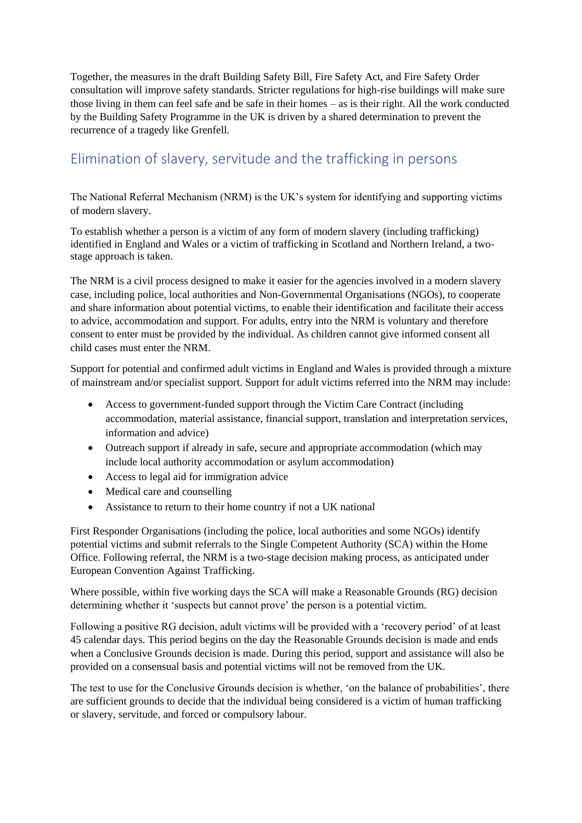Together, the measures in the draft Building Safety Bill, Fire Safety Act, and Fire Safety Order consultation will improve safety standards. Stricter regulations for high-rise buildings will make sure those living in them can feel safe and be safe in their homes – as is their right. All the work conducted by the Building Safety Programme in the UK is driven by a shared determination to prevent the recurrence of a tragedy like Grenfell.

# <span id="page-22-0"></span>Elimination of slavery, servitude and the trafficking in persons

The National Referral Mechanism (NRM) is the UK's system for identifying and supporting victims of modern slavery.

To establish whether a person is a victim of any form of modern slavery (including trafficking) identified in England and Wales or a victim of trafficking in Scotland and Northern Ireland, a twostage approach is taken.

The NRM is a civil process designed to make it easier for the agencies involved in a modern slavery case, including police, local authorities and Non-Governmental Organisations (NGOs), to cooperate and share information about potential victims, to enable their identification and facilitate their access to advice, accommodation and support. For adults, entry into the NRM is voluntary and therefore consent to enter must be provided by the individual. As children cannot give informed consent all child cases must enter the NRM.

Support for potential and confirmed adult victims in England and Wales is provided through a mixture of mainstream and/or specialist support. Support for adult victims referred into the NRM may include:

- Access to government-funded support through the Victim Care Contract (including accommodation, material assistance, financial support, translation and interpretation services, information and advice)
- Outreach support if already in safe, secure and appropriate accommodation (which may include local authority accommodation or asylum accommodation)
- Access to legal aid for immigration advice
- Medical care and counselling
- Assistance to return to their home country if not a UK national

First Responder Organisations (including the police, local authorities and some NGOs) identify potential victims and submit referrals to the Single Competent Authority (SCA) within the Home Office. Following referral, the NRM is a two-stage decision making process, as anticipated under European Convention Against Trafficking.

Where possible, within five working days the SCA will make a Reasonable Grounds (RG) decision determining whether it 'suspects but cannot prove' the person is a potential victim.

Following a positive RG decision, adult victims will be provided with a 'recovery period' of at least 45 calendar days. This period begins on the day the Reasonable Grounds decision is made and ends when a Conclusive Grounds decision is made. During this period, support and assistance will also be provided on a consensual basis and potential victims will not be removed from the UK.

The test to use for the Conclusive Grounds decision is whether, 'on the balance of probabilities', there are sufficient grounds to decide that the individual being considered is a victim of human trafficking or slavery, servitude, and forced or compulsory labour.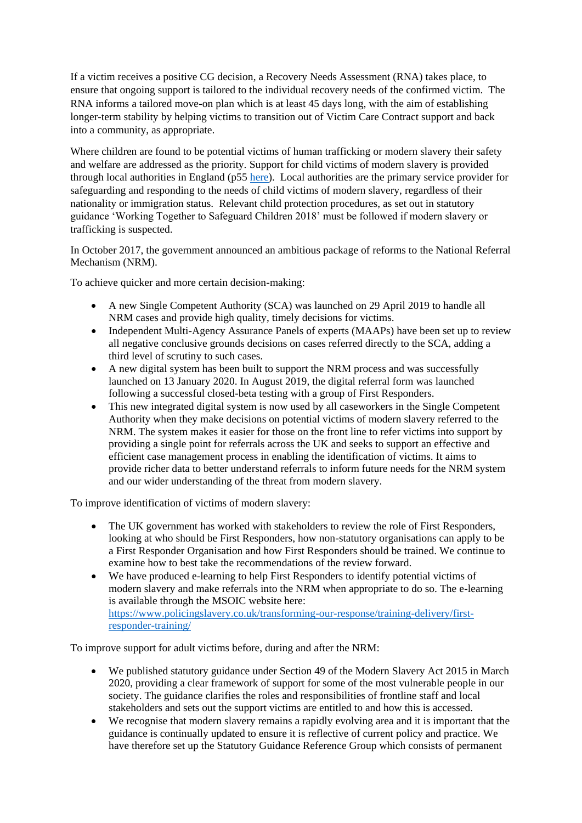If a victim receives a positive CG decision, a Recovery Needs Assessment (RNA) takes place, to ensure that ongoing support is tailored to the individual recovery needs of the confirmed victim. The RNA informs a tailored move-on plan which is at least 45 days long, with the aim of establishing longer-term stability by helping victims to transition out of Victim Care Contract support and back into a community, as appropriate.

Where children are found to be potential victims of human trafficking or modern slavery their safety and welfare are addressed as the priority. Support for child victims of modern slavery is provided through local authorities in England (p55 [here\)](https://www.gov.uk/government/publications/modern-slavery-how-to-identify-and-support-victims). Local authorities are the primary service provider for safeguarding and responding to the needs of child victims of modern slavery, regardless of their nationality or immigration status. Relevant child protection procedures, as set out in statutory guidance 'Working Together to Safeguard Children 2018' must be followed if modern slavery or trafficking is suspected.

In October 2017, the government announced an ambitious package of reforms to the National Referral Mechanism (NRM).

To achieve quicker and more certain decision-making:

- A new Single Competent Authority (SCA) was launched on 29 April 2019 to handle all NRM cases and provide high quality, timely decisions for victims.
- Independent Multi-Agency Assurance Panels of experts (MAAPs) have been set up to review all negative conclusive grounds decisions on cases referred directly to the SCA, adding a third level of scrutiny to such cases.
- A new digital system has been built to support the NRM process and was successfully launched on 13 January 2020. In August 2019, the digital referral form was launched following a successful closed-beta testing with a group of First Responders.
- This new integrated digital system is now used by all caseworkers in the Single Competent Authority when they make decisions on potential victims of modern slavery referred to the NRM. The system makes it easier for those on the front line to refer victims into support by providing a single point for referrals across the UK and seeks to support an effective and efficient case management process in enabling the identification of victims. It aims to provide richer data to better understand referrals to inform future needs for the NRM system and our wider understanding of the threat from modern slavery.

To improve identification of victims of modern slavery:

- The UK government has worked with stakeholders to review the role of First Responders, looking at who should be First Responders, how non-statutory organisations can apply to be a First Responder Organisation and how First Responders should be trained. We continue to examine how to best take the recommendations of the review forward.
- We have produced e-learning to help First Responders to identify potential victims of modern slavery and make referrals into the NRM when appropriate to do so. The e-learning is available through the MSOIC website here: [https://www.policingslavery.co.uk/transforming-our-response/training-delivery/first](https://www.policingslavery.co.uk/transforming-our-response/training-delivery/first-responder-training/)[responder-training/](https://www.policingslavery.co.uk/transforming-our-response/training-delivery/first-responder-training/)

To improve support for adult victims before, during and after the NRM:

- We published statutory guidance under Section 49 of the Modern Slavery Act 2015 in March 2020, providing a clear framework of support for some of the most vulnerable people in our society. The guidance clarifies the roles and responsibilities of frontline staff and local stakeholders and sets out the support victims are entitled to and how this is accessed.
- We recognise that modern slavery remains a rapidly evolving area and it is important that the guidance is continually updated to ensure it is reflective of current policy and practice. We have therefore set up the Statutory Guidance Reference Group which consists of permanent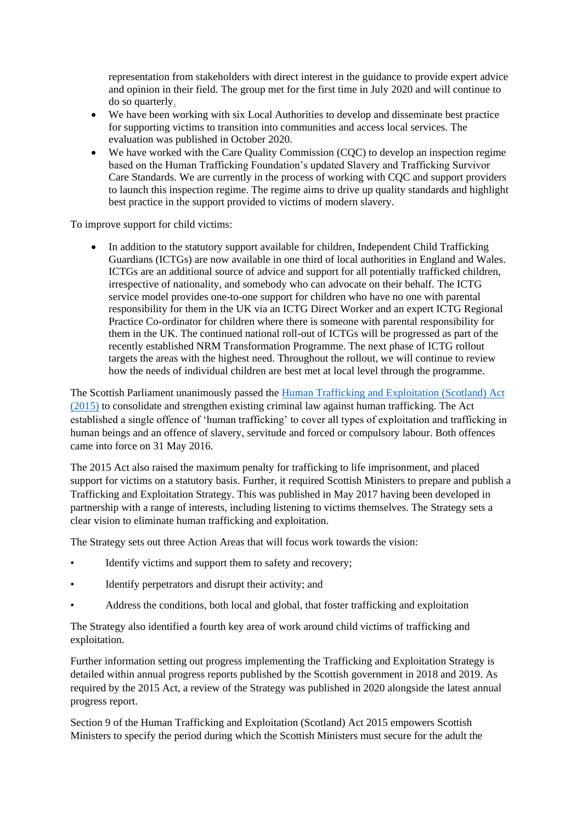representation from stakeholders with direct interest in the guidance to provide expert advice and opinion in their field. The group met for the first time in July 2020 and will continue to do so quarterly.

- We have been working with six Local Authorities to develop and disseminate best practice for supporting victims to transition into communities and access local services. The evaluation was published in October 2020.
- We have worked with the Care Quality Commission (COC) to develop an inspection regime based on the Human Trafficking Foundation's updated Slavery and Trafficking Survivor Care Standards. We are currently in the process of working with CQC and support providers to launch this inspection regime. The regime aims to drive up quality standards and highlight best practice in the support provided to victims of modern slavery.

To improve support for child victims:

• In addition to the statutory support available for children, Independent Child Trafficking Guardians (ICTGs) are now available in one third of local authorities in England and Wales. ICTGs are an additional source of advice and support for all potentially trafficked children, irrespective of nationality, and somebody who can advocate on their behalf. The ICTG service model provides one-to-one support for children who have no one with parental responsibility for them in the UK via an ICTG Direct Worker and an expert ICTG Regional Practice Co-ordinator for children where there is someone with parental responsibility for them in the UK. The continued national roll-out of ICTGs will be progressed as part of the recently established NRM Transformation Programme. The next phase of ICTG rollout targets the areas with the highest need. Throughout the rollout, we will continue to review how the needs of individual children are best met at local level through the programme.

The Scottish Parliament unanimously passed the Human Trafficking [and Exploitation \(Scotland\) Act](https://www.legislation.gov.uk/asp/2015/12/contents/enacted)  [\(2015\)](https://www.legislation.gov.uk/asp/2015/12/contents/enacted) to consolidate and strengthen existing criminal law against human trafficking. The Act established a single offence of 'human trafficking' to cover all types of exploitation and trafficking in human beings and an offence of slavery, servitude and forced or compulsory labour. Both offences came into force on 31 May 2016.

The 2015 Act also raised the maximum penalty for trafficking to life imprisonment, and placed support for victims on a statutory basis. Further, it required Scottish Ministers to prepare and publish a Trafficking and Exploitation Strategy. This was published in May 2017 having been developed in partnership with a range of interests, including listening to victims themselves. The Strategy sets a clear vision to eliminate human trafficking and exploitation.

The Strategy sets out three Action Areas that will focus work towards the vision:

- Identify victims and support them to safety and recovery:
- Identify perpetrators and disrupt their activity; and
- Address the conditions, both local and global, that foster trafficking and exploitation

The Strategy also identified a fourth key area of work around child victims of trafficking and exploitation.

Further information setting out progress implementing the Trafficking and Exploitation Strategy is detailed within annual progress reports published by the Scottish government in 2018 and 2019. As required by the 2015 Act, a review of the Strategy was published in 2020 alongside the latest annual progress report.

Section 9 of the Human Trafficking and Exploitation (Scotland) Act 2015 empowers Scottish Ministers to specify the period during which the Scottish Ministers must secure for the adult the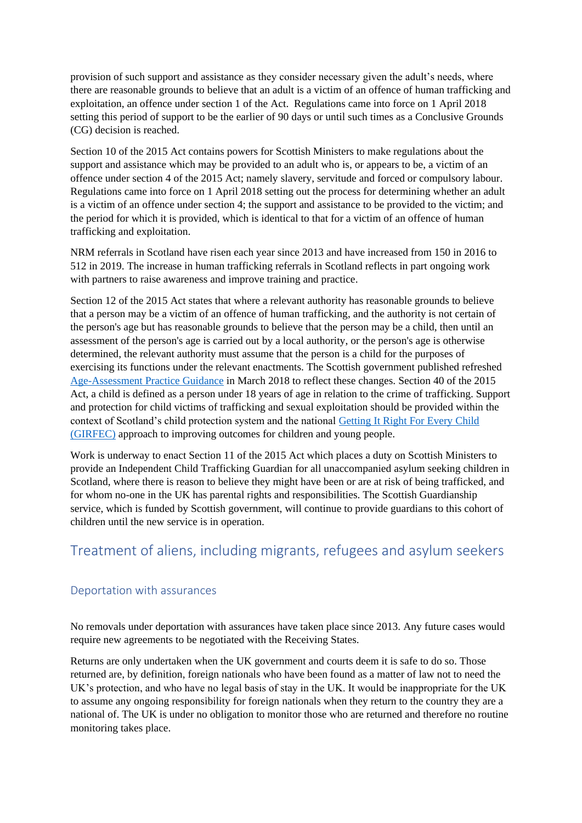provision of such support and assistance as they consider necessary given the adult's needs, where there are reasonable grounds to believe that an adult is a victim of an offence of human trafficking and exploitation, an offence under section 1 of the Act. Regulations came into force on 1 April 2018 setting this period of support to be the earlier of 90 days or until such times as a Conclusive Grounds (CG) decision is reached.

Section 10 of the 2015 Act contains powers for Scottish Ministers to make regulations about the support and assistance which may be provided to an adult who is, or appears to be, a victim of an offence under section 4 of the 2015 Act; namely slavery, servitude and forced or compulsory labour. Regulations came into force on 1 April 2018 setting out the process for determining whether an adult is a victim of an offence under section 4; the support and assistance to be provided to the victim; and the period for which it is provided, which is identical to that for a victim of an offence of human trafficking and exploitation.

NRM referrals in Scotland have risen each year since 2013 and have increased from 150 in 2016 to 512 in 2019. The increase in human trafficking referrals in Scotland reflects in part ongoing work with partners to raise awareness and improve training and practice.

Section 12 of the 2015 Act states that where a relevant authority has reasonable grounds to believe that a person may be a victim of an offence of human trafficking, and the authority is not certain of the person's age but has reasonable grounds to believe that the person may be a child, then until an assessment of the person's age is carried out by a local authority, or the person's age is otherwise determined, the relevant authority must assume that the person is a child for the purposes of exercising its functions under the relevant enactments. The Scottish government published refreshed [Age-Assessment Practice Guidance](https://www.gov.scot/publications/age-assessment-practice-guidance-scotland-good-practice-guidance-support-social/) in March 2018 to reflect these changes. Section 40 of the 2015 Act, a child is defined as a person under 18 years of age in relation to the crime of trafficking. Support and protection for child victims of trafficking and sexual exploitation should be provided within the context of Scotland's child protection system and the national [Getting It Right For Every Child](https://www.gov.scot/policies/girfec/)  [\(GIRFEC\)](https://www.gov.scot/policies/girfec/) approach to improving outcomes for children and young people.

Work is underway to enact Section 11 of the 2015 Act which places a duty on Scottish Ministers to provide an Independent Child Trafficking Guardian for all unaccompanied asylum seeking children in Scotland, where there is reason to believe they might have been or are at risk of being trafficked, and for whom no-one in the UK has parental rights and responsibilities. The Scottish Guardianship service, which is funded by Scottish government, will continue to provide guardians to this cohort of children until the new service is in operation.

## <span id="page-25-0"></span>Treatment of aliens, including migrants, refugees and asylum seekers

### <span id="page-25-1"></span>Deportation with assurances

No removals under deportation with assurances have taken place since 2013. Any future cases would require new agreements to be negotiated with the Receiving States.

Returns are only undertaken when the UK government and courts deem it is safe to do so. Those returned are, by definition, foreign nationals who have been found as a matter of law not to need the UK's protection, and who have no legal basis of stay in the UK. It would be inappropriate for the UK to assume any ongoing responsibility for foreign nationals when they return to the country they are a national of. The UK is under no obligation to monitor those who are returned and therefore no routine monitoring takes place.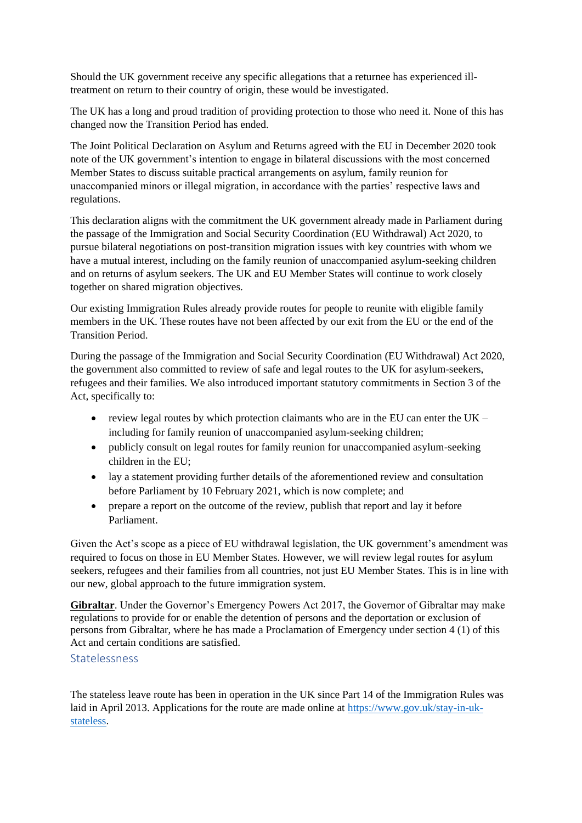Should the UK government receive any specific allegations that a returnee has experienced illtreatment on return to their country of origin, these would be investigated.

The UK has a long and proud tradition of providing protection to those who need it. None of this has changed now the Transition Period has ended.

The Joint Political Declaration on Asylum and Returns agreed with the EU in December 2020 took note of the UK government's intention to engage in bilateral discussions with the most concerned Member States to discuss suitable practical arrangements on asylum, family reunion for unaccompanied minors or illegal migration, in accordance with the parties' respective laws and regulations.

This declaration aligns with the commitment the UK government already made in Parliament during the passage of the Immigration and Social Security Coordination (EU Withdrawal) Act 2020, to pursue bilateral negotiations on post-transition migration issues with key countries with whom we have a mutual interest, including on the family reunion of unaccompanied asylum-seeking children and on returns of asylum seekers. The UK and EU Member States will continue to work closely together on shared migration objectives.

Our existing Immigration Rules already provide routes for people to reunite with eligible family members in the UK. These routes have not been affected by our exit from the EU or the end of the Transition Period.

During the passage of the Immigration and Social Security Coordination (EU Withdrawal) Act 2020, the government also committed to review of safe and legal routes to the UK for asylum-seekers, refugees and their families. We also introduced important statutory commitments in Section 3 of the Act, specifically to:

- review legal routes by which protection claimants who are in the EU can enter the UK including for family reunion of unaccompanied asylum-seeking children;
- publicly consult on legal routes for family reunion for unaccompanied asylum-seeking children in the EU;
- lay a statement providing further details of the aforementioned review and consultation before Parliament by 10 February 2021, which is now complete; and
- prepare a report on the outcome of the review, publish that report and lay it before Parliament.

Given the Act's scope as a piece of EU withdrawal legislation, the UK government's amendment was required to focus on those in EU Member States. However, we will review legal routes for asylum seekers, refugees and their families from all countries, not just EU Member States. This is in line with our new, global approach to the future immigration system.

**Gibraltar**. Under the Governor's Emergency Powers Act 2017, the Governor of Gibraltar may make regulations to provide for or enable the detention of persons and the deportation or exclusion of persons from Gibraltar, where he has made a Proclamation of Emergency under section 4 (1) of this Act and certain conditions are satisfied.

#### <span id="page-26-0"></span>Statelessness

The stateless leave route has been in operation in the UK since Part 14 of the Immigration Rules was laid in April 2013. Applications for the route are made online at [https://www.gov.uk/stay-in-uk](https://www.gov.uk/stay-in-uk-stateless)[stateless.](https://www.gov.uk/stay-in-uk-stateless)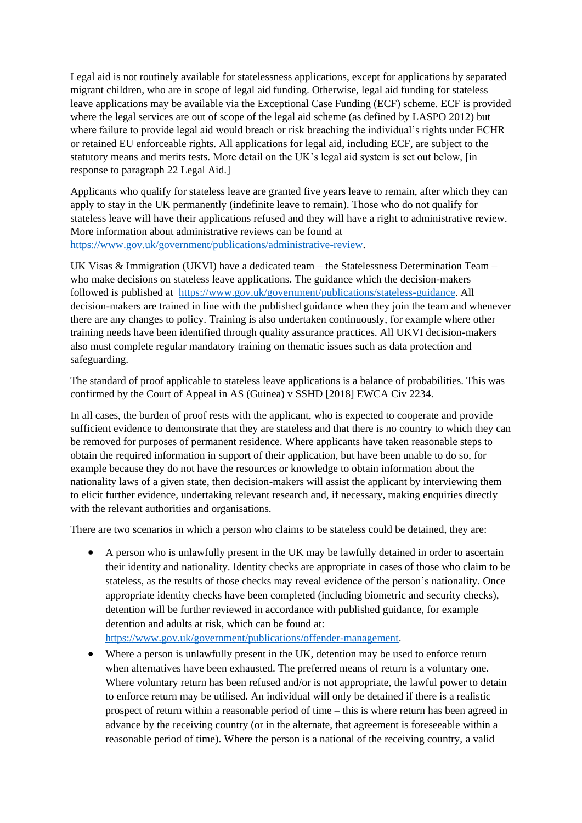Legal aid is not routinely available for statelessness applications, except for applications by separated migrant children, who are in scope of legal aid funding. Otherwise, legal aid funding for stateless leave applications may be available via the Exceptional Case Funding (ECF) scheme. ECF is provided where the legal services are out of scope of the legal aid scheme (as defined by LASPO 2012) but where failure to provide legal aid would breach or risk breaching the individual's rights under ECHR or retained EU enforceable rights. All applications for legal aid, including ECF, are subject to the statutory means and merits tests. More detail on the UK's legal aid system is set out below, [in response to paragraph 22 Legal Aid.]

Applicants who qualify for stateless leave are granted five years leave to remain, after which they can apply to stay in the UK permanently (indefinite leave to remain). Those who do not qualify for stateless leave will have their applications refused and they will have a right to administrative review. More information about administrative reviews can be found at [https://www.gov.uk/government/publications/administrative-review.](https://www.gov.uk/government/publications/administrative-review)

UK Visas & Immigration (UKVI) have a dedicated team – the Statelessness Determination Team – who make decisions on stateless leave applications. The guidance which the decision-makers followed is published at [https://www.gov.uk/government/publications/stateless-guidance.](https://www.gov.uk/government/publications/stateless-guidance) All decision-makers are trained in line with the published guidance when they join the team and whenever there are any changes to policy. Training is also undertaken continuously, for example where other training needs have been identified through quality assurance practices. All UKVI decision-makers also must complete regular mandatory training on thematic issues such as data protection and safeguarding.

The standard of proof applicable to stateless leave applications is a balance of probabilities. This was confirmed by the Court of Appeal in AS (Guinea) v SSHD [2018] EWCA Civ 2234.

In all cases, the burden of proof rests with the applicant, who is expected to cooperate and provide sufficient evidence to demonstrate that they are stateless and that there is no country to which they can be removed for purposes of permanent residence. Where applicants have taken reasonable steps to obtain the required information in support of their application, but have been unable to do so, for example because they do not have the resources or knowledge to obtain information about the nationality laws of a given state, then decision-makers will assist the applicant by interviewing them to elicit further evidence, undertaking relevant research and, if necessary, making enquiries directly with the relevant authorities and organisations.

There are two scenarios in which a person who claims to be stateless could be detained, they are:

• A person who is unlawfully present in the UK may be lawfully detained in order to ascertain their identity and nationality. Identity checks are appropriate in cases of those who claim to be stateless, as the results of those checks may reveal evidence of the person's nationality. Once appropriate identity checks have been completed (including biometric and security checks), detention will be further reviewed in accordance with published guidance, for example detention and adults at risk, which can be found at:

[https://www.gov.uk/government/publications/offender-management.](https://www.gov.uk/government/publications/offender-management)

• Where a person is unlawfully present in the UK, detention may be used to enforce return when alternatives have been exhausted. The preferred means of return is a voluntary one. Where voluntary return has been refused and/or is not appropriate, the lawful power to detain to enforce return may be utilised. An individual will only be detained if there is a realistic prospect of return within a reasonable period of time – this is where return has been agreed in advance by the receiving country (or in the alternate, that agreement is foreseeable within a reasonable period of time). Where the person is a national of the receiving country, a valid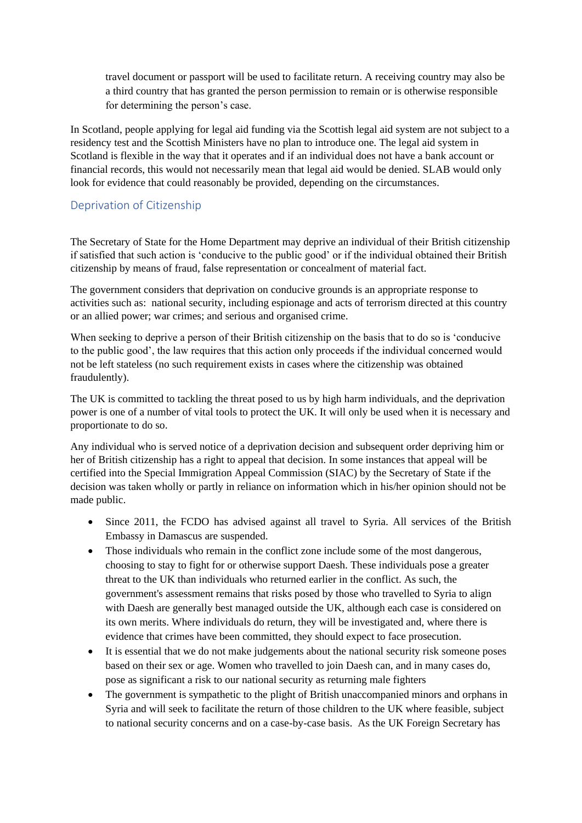travel document or passport will be used to facilitate return. A receiving country may also be a third country that has granted the person permission to remain or is otherwise responsible for determining the person's case.

In Scotland, people applying for legal aid funding via the Scottish legal aid system are not subject to a residency test and the Scottish Ministers have no plan to introduce one. The legal aid system in Scotland is flexible in the way that it operates and if an individual does not have a bank account or financial records, this would not necessarily mean that legal aid would be denied. SLAB would only look for evidence that could reasonably be provided, depending on the circumstances.

### <span id="page-28-0"></span>Deprivation of Citizenship

The Secretary of State for the Home Department may deprive an individual of their British citizenship if satisfied that such action is 'conducive to the public good' or if the individual obtained their British citizenship by means of fraud, false representation or concealment of material fact.

The government considers that deprivation on conducive grounds is an appropriate response to activities such as: national security, including espionage and acts of terrorism directed at this country or an allied power; war crimes; and serious and organised crime.

When seeking to deprive a person of their British citizenship on the basis that to do so is 'conducive to the public good', the law requires that this action only proceeds if the individual concerned would not be left stateless (no such requirement exists in cases where the citizenship was obtained fraudulently).

The UK is committed to tackling the threat posed to us by high harm individuals, and the deprivation power is one of a number of vital tools to protect the UK. It will only be used when it is necessary and proportionate to do so.

Any individual who is served notice of a deprivation decision and subsequent order depriving him or her of British citizenship has a right to appeal that decision. In some instances that appeal will be certified into the Special Immigration Appeal Commission (SIAC) by the Secretary of State if the decision was taken wholly or partly in reliance on information which in his/her opinion should not be made public.

- Since 2011, the FCDO has advised against all travel to Syria. All services of the British Embassy in Damascus are suspended.
- Those individuals who remain in the conflict zone include some of the most dangerous, choosing to stay to fight for or otherwise support Daesh. These individuals pose a greater threat to the UK than individuals who returned earlier in the conflict. As such, the government's assessment remains that risks posed by those who travelled to Syria to align with Daesh are generally best managed outside the UK, although each case is considered on its own merits. Where individuals do return, they will be investigated and, where there is evidence that crimes have been committed, they should expect to face prosecution.
- It is essential that we do not make judgements about the national security risk someone poses based on their sex or age. Women who travelled to join Daesh can, and in many cases do, pose as significant a risk to our national security as returning male fighters
- The government is sympathetic to the plight of British unaccompanied minors and orphans in Syria and will seek to facilitate the return of those children to the UK where feasible, subject to national security concerns and on a case-by-case basis. As the UK Foreign Secretary has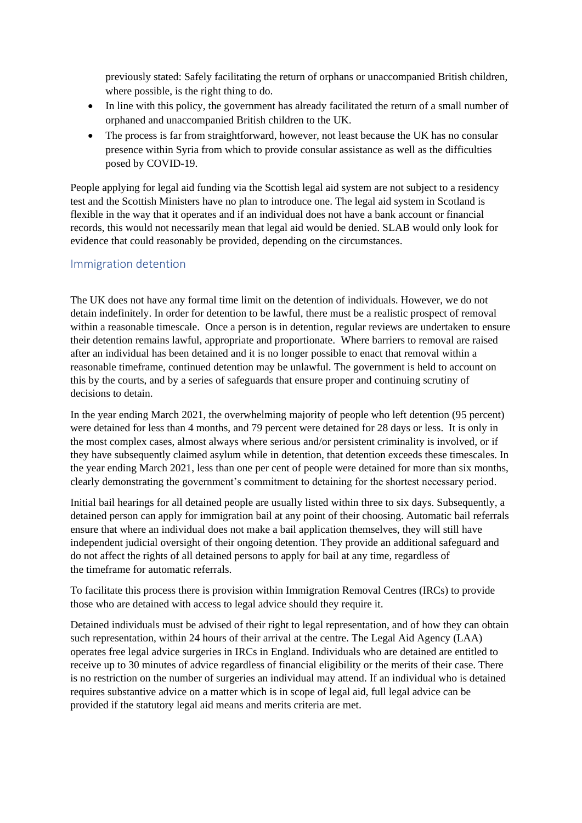previously stated: Safely facilitating the return of orphans or unaccompanied British children, where possible, is the right thing to do.

- In line with this policy, the government has already facilitated the return of a small number of orphaned and unaccompanied British children to the UK.
- The process is far from straightforward, however, not least because the UK has no consular presence within Syria from which to provide consular assistance as well as the difficulties posed by COVID-19.

People applying for legal aid funding via the Scottish legal aid system are not subject to a residency test and the Scottish Ministers have no plan to introduce one. The legal aid system in Scotland is flexible in the way that it operates and if an individual does not have a bank account or financial records, this would not necessarily mean that legal aid would be denied. SLAB would only look for evidence that could reasonably be provided, depending on the circumstances.

### <span id="page-29-0"></span>Immigration detention

The UK does not have any formal time limit on the detention of individuals. However, we do not detain indefinitely. In order for detention to be lawful, there must be a realistic prospect of removal within a reasonable timescale. Once a person is in detention, regular reviews are undertaken to ensure their detention remains lawful, appropriate and proportionate. Where barriers to removal are raised after an individual has been detained and it is no longer possible to enact that removal within a reasonable timeframe, continued detention may be unlawful. The government is held to account on this by the courts, and by a series of safeguards that ensure proper and continuing scrutiny of decisions to detain.

In the year ending March 2021, the overwhelming majority of people who left detention (95 percent) were detained for less than 4 months, and 79 percent were detained for 28 days or less. It is only in the most complex cases, almost always where serious and/or persistent criminality is involved, or if they have subsequently claimed asylum while in detention, that detention exceeds these timescales. In the year ending March 2021, less than one per cent of people were detained for more than six months, clearly demonstrating the government's commitment to detaining for the shortest necessary period.

Initial bail hearings for all detained people are usually listed within three to six days. Subsequently, a detained person can apply for immigration bail at any point of their choosing. Automatic bail referrals ensure that where an individual does not make a bail application themselves, they will still have independent judicial oversight of their ongoing detention. They provide an additional safeguard and do not affect the rights of all detained persons to apply for bail at any time, regardless of the timeframe for automatic referrals.

To facilitate this process there is provision within Immigration Removal Centres (IRCs) to provide those who are detained with access to legal advice should they require it.

Detained individuals must be advised of their right to legal representation, and of how they can obtain such representation, within 24 hours of their arrival at the centre. The Legal Aid Agency (LAA) operates free legal advice surgeries in IRCs in England. Individuals who are detained are entitled to receive up to 30 minutes of advice regardless of financial eligibility or the merits of their case. There is no restriction on the number of surgeries an individual may attend. If an individual who is detained requires substantive advice on a matter which is in scope of legal aid, full legal advice can be provided if the statutory legal aid means and merits criteria are met.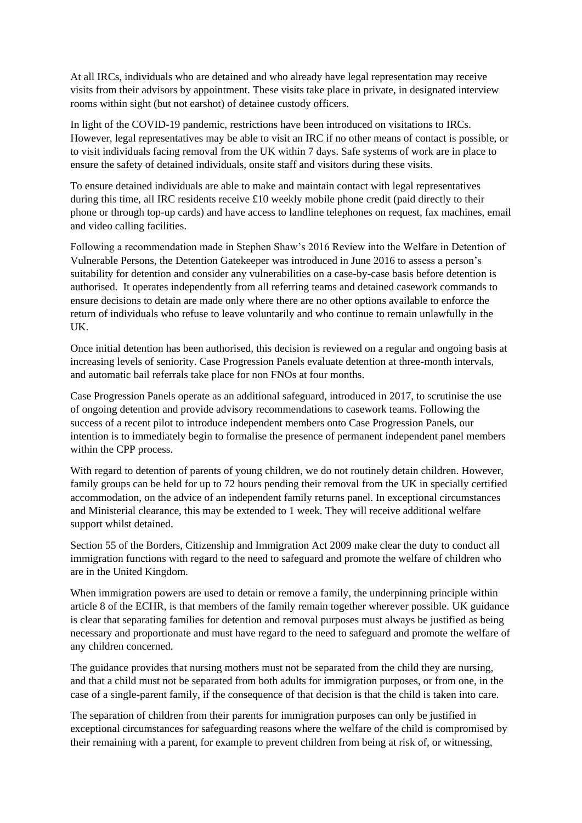At all IRCs, individuals who are detained and who already have legal representation may receive visits from their advisors by appointment. These visits take place in private, in designated interview rooms within sight (but not earshot) of detainee custody officers.

In light of the COVID-19 pandemic, restrictions have been introduced on visitations to IRCs. However, legal representatives may be able to visit an IRC if no other means of contact is possible, or to visit individuals facing removal from the UK within 7 days. Safe systems of work are in place to ensure the safety of detained individuals, onsite staff and visitors during these visits.

To ensure detained individuals are able to make and maintain contact with legal representatives during this time, all IRC residents receive £10 weekly mobile phone credit (paid directly to their phone or through top-up cards) and have access to landline telephones on request, fax machines, email and video calling facilities.

Following a recommendation made in Stephen Shaw's 2016 Review into the Welfare in Detention of Vulnerable Persons, the Detention Gatekeeper was introduced in June 2016 to assess a person's suitability for detention and consider any vulnerabilities on a case-by-case basis before detention is authorised. It operates independently from all referring teams and detained casework commands to ensure decisions to detain are made only where there are no other options available to enforce the return of individuals who refuse to leave voluntarily and who continue to remain unlawfully in the UK.

Once initial detention has been authorised, this decision is reviewed on a regular and ongoing basis at increasing levels of seniority. Case Progression Panels evaluate detention at three-month intervals, and automatic bail referrals take place for non FNOs at four months.

Case Progression Panels operate as an additional safeguard, introduced in 2017, to scrutinise the use of ongoing detention and provide advisory recommendations to casework teams. Following the success of a recent pilot to introduce independent members onto Case Progression Panels, our intention is to immediately begin to formalise the presence of permanent independent panel members within the CPP process.

With regard to detention of parents of young children, we do not routinely detain children. However, family groups can be held for up to 72 hours pending their removal from the UK in specially certified accommodation, on the advice of an independent family returns panel. In exceptional circumstances and Ministerial clearance, this may be extended to 1 week. They will receive additional welfare support whilst detained.

Section 55 of the Borders, Citizenship and Immigration Act 2009 make clear the duty to conduct all immigration functions with regard to the need to safeguard and promote the welfare of children who are in the United Kingdom.

When immigration powers are used to detain or remove a family, the underpinning principle within article 8 of the ECHR, is that members of the family remain together wherever possible. UK guidance is clear that separating families for detention and removal purposes must always be justified as being necessary and proportionate and must have regard to the need to safeguard and promote the welfare of any children concerned.

The guidance provides that nursing mothers must not be separated from the child they are nursing, and that a child must not be separated from both adults for immigration purposes, or from one, in the case of a single-parent family, if the consequence of that decision is that the child is taken into care.

The separation of children from their parents for immigration purposes can only be justified in exceptional circumstances for safeguarding reasons where the welfare of the child is compromised by their remaining with a parent, for example to prevent children from being at risk of, or witnessing,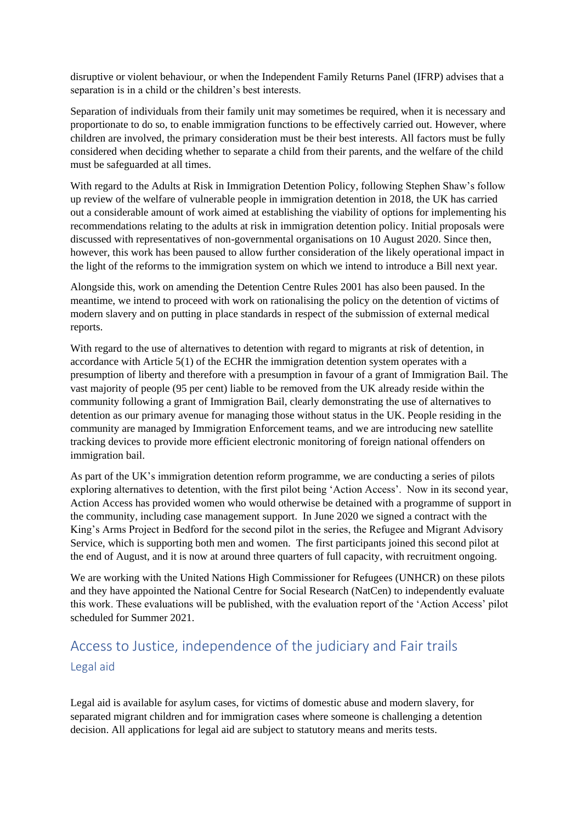disruptive or violent behaviour, or when the Independent Family Returns Panel (IFRP) advises that a separation is in a child or the children's best interests.

Separation of individuals from their family unit may sometimes be required, when it is necessary and proportionate to do so, to enable immigration functions to be effectively carried out. However, where children are involved, the primary consideration must be their best interests. All factors must be fully considered when deciding whether to separate a child from their parents, and the welfare of the child must be safeguarded at all times.

With regard to the Adults at Risk in Immigration Detention Policy, following Stephen Shaw's follow up review of the welfare of vulnerable people in immigration detention in 2018, the UK has carried out a considerable amount of work aimed at establishing the viability of options for implementing his recommendations relating to the adults at risk in immigration detention policy. Initial proposals were discussed with representatives of non-governmental organisations on 10 August 2020. Since then, however, this work has been paused to allow further consideration of the likely operational impact in the light of the reforms to the immigration system on which we intend to introduce a Bill next year.

Alongside this, work on amending the Detention Centre Rules 2001 has also been paused. In the meantime, we intend to proceed with work on rationalising the policy on the detention of victims of modern slavery and on putting in place standards in respect of the submission of external medical reports.

With regard to the use of alternatives to detention with regard to migrants at risk of detention, in accordance with Article 5(1) of the ECHR the immigration detention system operates with a presumption of liberty and therefore with a presumption in favour of a grant of Immigration Bail. The vast majority of people (95 per cent) liable to be removed from the UK already reside within the community following a grant of Immigration Bail, clearly demonstrating the use of alternatives to detention as our primary avenue for managing those without status in the UK. People residing in the community are managed by Immigration Enforcement teams, and we are introducing new satellite tracking devices to provide more efficient electronic monitoring of foreign national offenders on immigration bail.

As part of the UK's immigration detention reform programme, we are conducting a series of pilots exploring alternatives to detention, with the first pilot being 'Action Access'. Now in its second year, Action Access has provided women who would otherwise be detained with a programme of support in the community, including case management support. In June 2020 we signed a contract with the King's Arms Project in Bedford for the second pilot in the series, the Refugee and Migrant Advisory Service, which is supporting both men and women. The first participants joined this second pilot at the end of August, and it is now at around three quarters of full capacity, with recruitment ongoing.

We are working with the United Nations High Commissioner for Refugees (UNHCR) on these pilots and they have appointed the National Centre for Social Research (NatCen) to independently evaluate this work. These evaluations will be published, with the evaluation report of the 'Action Access' pilot scheduled for Summer 2021.

# <span id="page-31-1"></span><span id="page-31-0"></span>Access to Justice, independence of the judiciary and Fair trails Legal aid

Legal aid is available for asylum cases, for victims of domestic abuse and modern slavery, for separated migrant children and for immigration cases where someone is challenging a detention decision. All applications for legal aid are subject to statutory means and merits tests.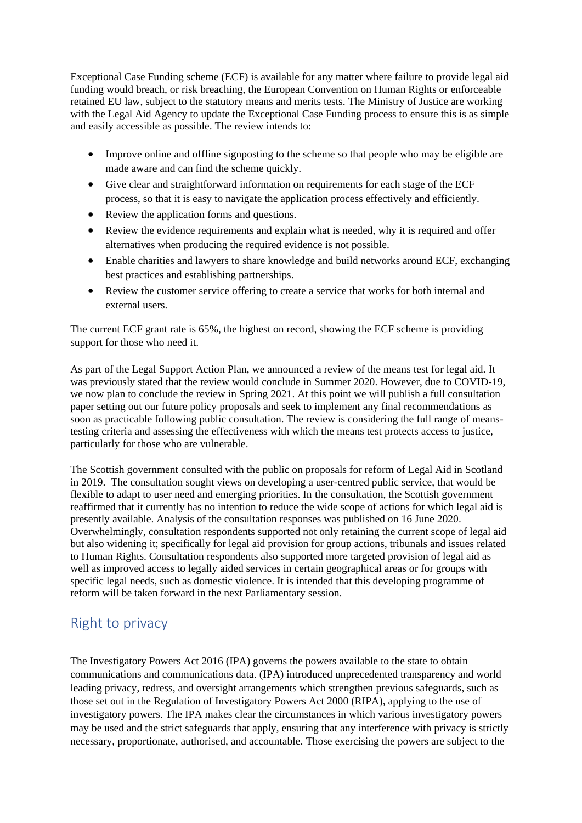Exceptional Case Funding scheme (ECF) is available for any matter where failure to provide legal aid funding would breach, or risk breaching, the European Convention on Human Rights or enforceable retained EU law, subject to the statutory means and merits tests. The Ministry of Justice are working with the Legal Aid Agency to update the Exceptional Case Funding process to ensure this is as simple and easily accessible as possible. The review intends to:

- Improve online and offline signposting to the scheme so that people who may be eligible are made aware and can find the scheme quickly.
- Give clear and straightforward information on requirements for each stage of the ECF process, so that it is easy to navigate the application process effectively and efficiently.
- Review the application forms and questions.
- Review the evidence requirements and explain what is needed, why it is required and offer alternatives when producing the required evidence is not possible.
- Enable charities and lawyers to share knowledge and build networks around ECF, exchanging best practices and establishing partnerships.
- Review the customer service offering to create a service that works for both internal and external users.

The current ECF grant rate is 65%, the highest on record, showing the ECF scheme is providing support for those who need it.

As part of the Legal Support Action Plan, we announced a review of the means test for legal aid. It was previously stated that the review would conclude in Summer 2020. However, due to COVID-19, we now plan to conclude the review in Spring 2021. At this point we will publish a full consultation paper setting out our future policy proposals and seek to implement any final recommendations as soon as practicable following public consultation. The review is considering the full range of meanstesting criteria and assessing the effectiveness with which the means test protects access to justice, particularly for those who are vulnerable.

The Scottish government consulted with the public on proposals for reform of Legal Aid in Scotland in 2019. The consultation sought views on developing a user-centred public service, that would be flexible to adapt to user need and emerging priorities. In the consultation, the Scottish government reaffirmed that it currently has no intention to reduce the wide scope of actions for which legal aid is presently available. Analysis of the consultation responses was published on 16 June 2020. Overwhelmingly, consultation respondents supported not only retaining the current scope of legal aid but also widening it; specifically for legal aid provision for group actions, tribunals and issues related to Human Rights. Consultation respondents also supported more targeted provision of legal aid as well as improved access to legally aided services in certain geographical areas or for groups with specific legal needs, such as domestic violence. It is intended that this developing programme of reform will be taken forward in the next Parliamentary session.

## <span id="page-32-0"></span>Right to privacy

The Investigatory Powers Act 2016 (IPA) governs the powers available to the state to obtain communications and communications data. (IPA) introduced unprecedented transparency and world leading privacy, redress, and oversight arrangements which strengthen previous safeguards, such as those set out in the Regulation of Investigatory Powers Act 2000 (RIPA), applying to the use of investigatory powers. The IPA makes clear the circumstances in which various investigatory powers may be used and the strict safeguards that apply, ensuring that any interference with privacy is strictly necessary, proportionate, authorised, and accountable. Those exercising the powers are subject to the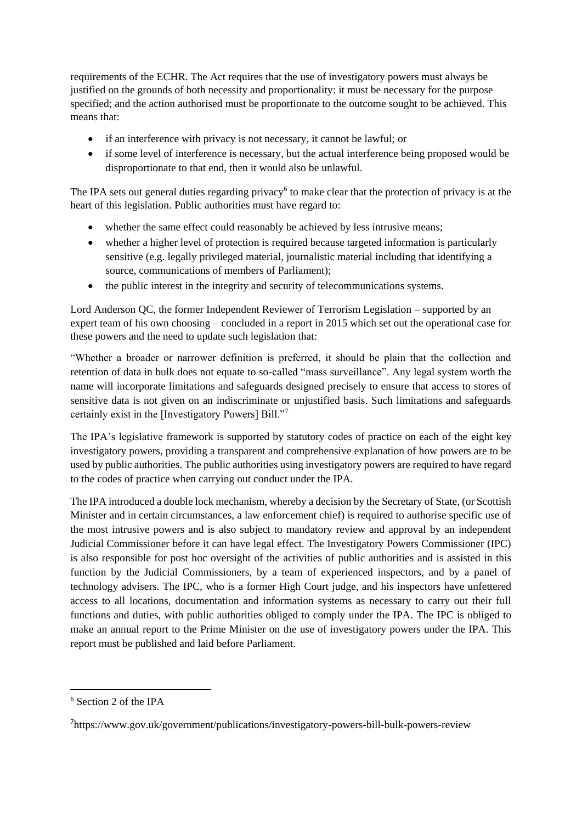requirements of the ECHR. The Act requires that the use of investigatory powers must always be justified on the grounds of both necessity and proportionality: it must be necessary for the purpose specified; and the action authorised must be proportionate to the outcome sought to be achieved. This means that:

- if an interference with privacy is not necessary, it cannot be lawful; or
- if some level of interference is necessary, but the actual interference being proposed would be disproportionate to that end, then it would also be unlawful.

The IPA sets out general duties regarding privacy<sup>6</sup> to make clear that the protection of privacy is at the heart of this legislation. Public authorities must have regard to:

- whether the same effect could reasonably be achieved by less intrusive means;
- whether a higher level of protection is required because targeted information is particularly sensitive (e.g. legally privileged material, journalistic material including that identifying a source, communications of members of Parliament);
- the public interest in the integrity and security of telecommunications systems.

Lord Anderson QC, the former Independent Reviewer of Terrorism Legislation – supported by an expert team of his own choosing – concluded in a report in 2015 which set out the operational case for these powers and the need to update such legislation that:

"Whether a broader or narrower definition is preferred, it should be plain that the collection and retention of data in bulk does not equate to so-called "mass surveillance". Any legal system worth the name will incorporate limitations and safeguards designed precisely to ensure that access to stores of sensitive data is not given on an indiscriminate or unjustified basis. Such limitations and safeguards certainly exist in the [Investigatory Powers] Bill."<sup>7</sup>

The IPA's legislative framework is supported by statutory codes of practice on each of the eight key investigatory powers, providing a transparent and comprehensive explanation of how powers are to be used by public authorities. The public authorities using investigatory powers are required to have regard to the codes of practice when carrying out conduct under the IPA.

The IPA introduced a double lock mechanism, whereby a decision by the Secretary of State, (or Scottish Minister and in certain circumstances, a law enforcement chief) is required to authorise specific use of the most intrusive powers and is also subject to mandatory review and approval by an independent Judicial Commissioner before it can have legal effect. The Investigatory Powers Commissioner (IPC) is also responsible for post hoc oversight of the activities of public authorities and is assisted in this function by the Judicial Commissioners, by a team of experienced inspectors, and by a panel of technology advisers. The IPC, who is a former High Court judge, and his inspectors have unfettered access to all locations, documentation and information systems as necessary to carry out their full functions and duties, with public authorities obliged to comply under the IPA. The IPC is obliged to make an annual report to the Prime Minister on the use of investigatory powers under the IPA. This report must be published and laid before Parliament.

**.** 

<sup>6</sup> Section 2 of the IPA

<sup>7</sup>https://www.gov.uk/government/publications/investigatory-powers-bill-bulk-powers-review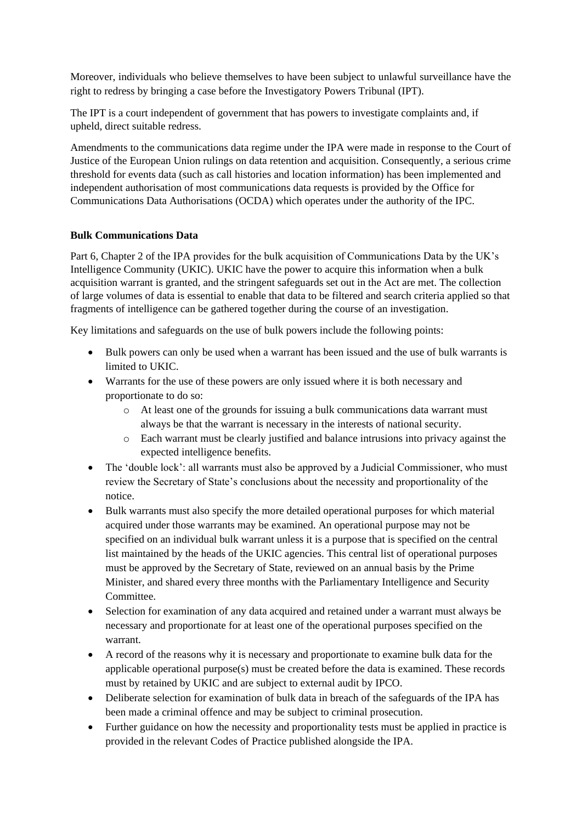Moreover, individuals who believe themselves to have been subject to unlawful surveillance have the right to redress by bringing a case before the Investigatory Powers Tribunal (IPT).

The IPT is a court independent of government that has powers to investigate complaints and, if upheld, direct suitable redress.

Amendments to the communications data regime under the IPA were made in response to the Court of Justice of the European Union rulings on data retention and acquisition. Consequently, a serious crime threshold for events data (such as call histories and location information) has been implemented and independent authorisation of most communications data requests is provided by the Office for Communications Data Authorisations (OCDA) which operates under the authority of the IPC.

#### **Bulk Communications Data**

Part 6, Chapter 2 of the IPA provides for the bulk acquisition of Communications Data by the UK's Intelligence Community (UKIC). UKIC have the power to acquire this information when a bulk acquisition warrant is granted, and the stringent safeguards set out in the Act are met. The collection of large volumes of data is essential to enable that data to be filtered and search criteria applied so that fragments of intelligence can be gathered together during the course of an investigation.

Key limitations and safeguards on the use of bulk powers include the following points:

- Bulk powers can only be used when a warrant has been issued and the use of bulk warrants is limited to UKIC.
- Warrants for the use of these powers are only issued where it is both necessary and proportionate to do so:
	- o At least one of the grounds for issuing a bulk communications data warrant must always be that the warrant is necessary in the interests of national security.
	- o Each warrant must be clearly justified and balance intrusions into privacy against the expected intelligence benefits.
- The 'double lock': all warrants must also be approved by a Judicial Commissioner, who must review the Secretary of State's conclusions about the necessity and proportionality of the notice.
- Bulk warrants must also specify the more detailed operational purposes for which material acquired under those warrants may be examined. An operational purpose may not be specified on an individual bulk warrant unless it is a purpose that is specified on the central list maintained by the heads of the UKIC agencies. This central list of operational purposes must be approved by the Secretary of State, reviewed on an annual basis by the Prime Minister, and shared every three months with the Parliamentary Intelligence and Security Committee.
- Selection for examination of any data acquired and retained under a warrant must always be necessary and proportionate for at least one of the operational purposes specified on the warrant.
- A record of the reasons why it is necessary and proportionate to examine bulk data for the applicable operational purpose(s) must be created before the data is examined. These records must by retained by UKIC and are subject to external audit by IPCO.
- Deliberate selection for examination of bulk data in breach of the safeguards of the IPA has been made a criminal offence and may be subject to criminal prosecution.
- Further guidance on how the necessity and proportionality tests must be applied in practice is provided in the relevant Codes of Practice published alongside the IPA.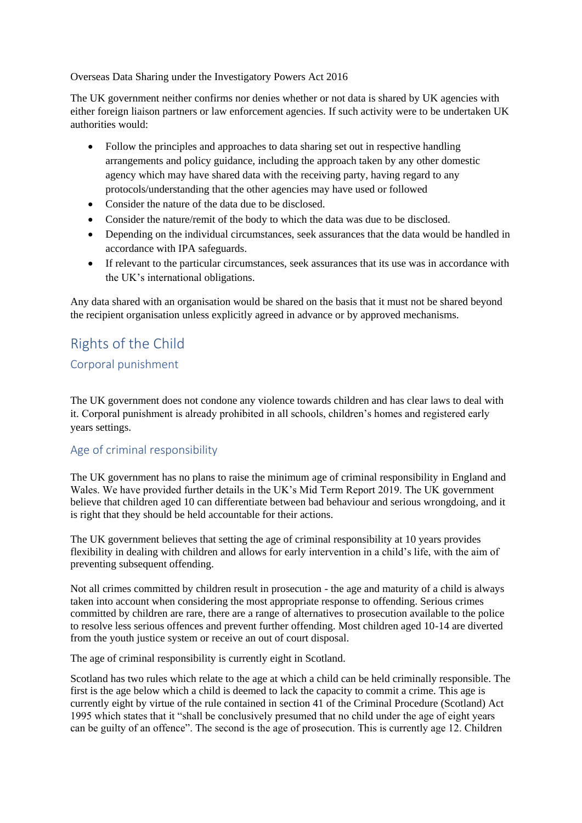Overseas Data Sharing under the Investigatory Powers Act 2016

The UK government neither confirms nor denies whether or not data is shared by UK agencies with either foreign liaison partners or law enforcement agencies. If such activity were to be undertaken UK authorities would:

- Follow the principles and approaches to data sharing set out in respective handling arrangements and policy guidance, including the approach taken by any other domestic agency which may have shared data with the receiving party, having regard to any protocols/understanding that the other agencies may have used or followed
- Consider the nature of the data due to be disclosed.
- Consider the nature/remit of the body to which the data was due to be disclosed.
- Depending on the individual circumstances, seek assurances that the data would be handled in accordance with IPA safeguards.
- If relevant to the particular circumstances, seek assurances that its use was in accordance with the UK's international obligations.

Any data shared with an organisation would be shared on the basis that it must not be shared beyond the recipient organisation unless explicitly agreed in advance or by approved mechanisms.

# <span id="page-35-1"></span><span id="page-35-0"></span>Rights of the Child Corporal punishment

The UK government does not condone any violence towards children and has clear laws to deal with it. Corporal punishment is already prohibited in all schools, children's homes and registered early years settings.

### <span id="page-35-2"></span>Age of criminal responsibility

The UK government has no plans to raise the minimum age of criminal responsibility in England and Wales. We have provided further details in the UK's Mid Term Report 2019. The UK government believe that children aged 10 can differentiate between bad behaviour and serious wrongdoing, and it is right that they should be held accountable for their actions.

The UK government believes that setting the age of criminal responsibility at 10 years provides flexibility in dealing with children and allows for early intervention in a child's life, with the aim of preventing subsequent offending.

Not all crimes committed by children result in prosecution - the age and maturity of a child is always taken into account when considering the most appropriate response to offending. Serious crimes committed by children are rare, there are a range of alternatives to prosecution available to the police to resolve less serious offences and prevent further offending. Most children aged 10-14 are diverted from the youth justice system or receive an out of court disposal.

The age of criminal responsibility is currently eight in Scotland.

Scotland has two rules which relate to the age at which a child can be held criminally responsible. The first is the age below which a child is deemed to lack the capacity to commit a crime. This age is currently eight by virtue of the rule contained in section 41 of the Criminal Procedure (Scotland) Act 1995 which states that it "shall be conclusively presumed that no child under the age of eight years can be guilty of an offence". The second is the age of prosecution. This is currently age 12. Children